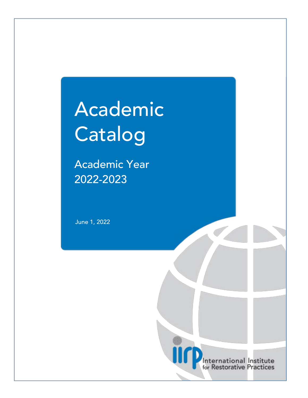# Academic Catalog

Academic Year 2022-2023

June 1, 2022

International Institute for Restorative Practices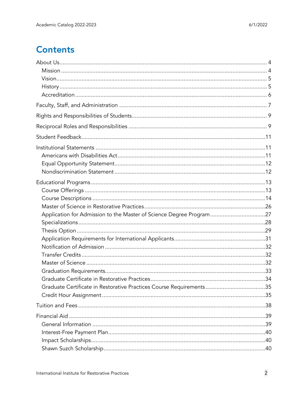# **Contents**

| Application for Admission to the Master of Science Degree Program27 |  |
|---------------------------------------------------------------------|--|
|                                                                     |  |
|                                                                     |  |
|                                                                     |  |
|                                                                     |  |
|                                                                     |  |
|                                                                     |  |
|                                                                     |  |
|                                                                     |  |
| Graduate Certificate in Restorative Practices Course Requirements35 |  |
|                                                                     |  |
|                                                                     |  |
|                                                                     |  |
|                                                                     |  |
|                                                                     |  |
|                                                                     |  |
|                                                                     |  |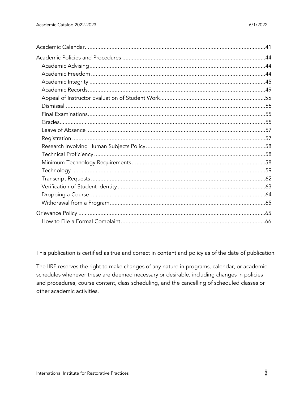This publication is certified as true and correct in content and policy as of the date of publication.

The IIRP reserves the right to make changes of any nature in programs, calendar, or academic schedules whenever these are deemed necessary or desirable, including changes in policies and procedures, course content, class scheduling, and the cancelling of scheduled classes or other academic activities.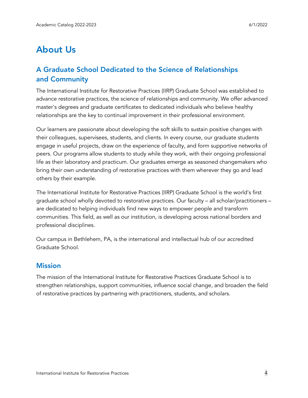# <span id="page-3-0"></span>About Us

# A Graduate School Dedicated to the Science of Relationships and Community

The International Institute for Restorative Practices (IIRP) Graduate School was established to advance restorative practices, the science of relationships and community. We offer advanced master's degrees and graduate certificates to dedicated individuals who believe healthy relationships are the key to continual improvement in their professional environment.

Our learners are passionate about developing the soft skills to sustain positive changes with their colleagues, supervisees, students, and clients. In every course, our graduate students engage in useful projects, draw on the experience of faculty, and form supportive networks of peers. Our programs allow students to study while they work, with their ongoing professional life as their laboratory and practicum. Our graduates emerge as seasoned changemakers who bring their own understanding of restorative practices with them wherever they go and lead others by their example.

The International Institute for Restorative Practices (IIRP) Graduate School is the world's first graduate school wholly devoted to restorative practices. Our faculty – all scholar/practitioners – are dedicated to helping individuals find new ways to empower people and transform communities. This field, as well as our institution, is developing across national borders and professional disciplines.

Our campus in Bethlehem, PA, is the international and intellectual hub of our accredited Graduate School.

## <span id="page-3-1"></span>**Mission**

The mission of the International Institute for Restorative Practices Graduate School is to strengthen relationships, support communities, influence social change, and broaden the field of restorative practices by partnering with practitioners, students, and scholars.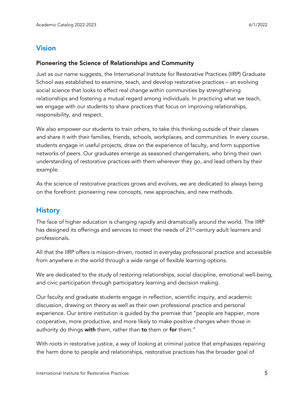# <span id="page-4-0"></span>Vision

#### Pioneering the Science of Relationships and Community

Just as our name suggests, the International Institute for Restorative Practices (IIRP) Graduate School was established to examine, teach, and develop restorative practices – an evolving social science that looks to effect real change within communities by strengthening relationships and fostering a mutual regard among individuals. In practicing what we teach, we engage with our students to share practices that focus on improving relationships, responsibility, and respect.

We also empower our students to train others, to take this thinking outside of their classes and share it with their families, friends, schools, workplaces, and communities. In every course, students engage in useful projects, draw on the experience of faculty, and form supportive networks of peers. Our graduates emerge as seasoned changemakers, who bring their own understanding of restorative practices with them wherever they go, and lead others by their example.

As the science of restorative practices grows and evolves, we are dedicated to always being on the forefront: pioneering new concepts, new approaches, and new methods.

# <span id="page-4-1"></span>**History**

The face of higher education is changing rapidly and dramatically around the world. The IIRP has designed its offerings and services to meet the needs of 21<sup>st</sup>-century adult learners and professionals.

All that the IIRP offers is mission-driven, rooted in everyday professional practice and accessible from anywhere in the world through a wide range of flexible learning options.

We are dedicated to the study of restoring relationships, social discipline, emotional well-being, and civic participation through participatory learning and decision making.

Our faculty and graduate students engage in reflection, scientific inquiry, and academic discussion, drawing on theory as well as their own professional practice and personal experience. Our entire institution is guided by the premise that "people are happier, more cooperative, more productive, and more likely to make positive changes when those in authority do things with them, rather than to them or for them."

With roots in restorative justice, a way of looking at criminal justice that emphasizes repairing the harm done to people and relationships, restorative practices has the broader goal of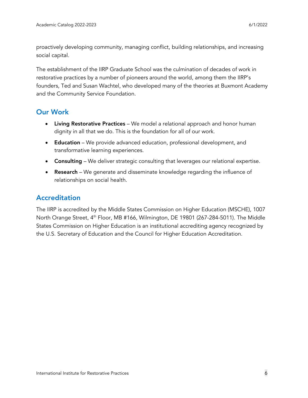proactively developing community, managing conflict, building relationships, and increasing social capital.

The establishment of the IIRP Graduate School was the culmination of decades of work in restorative practices by a number of pioneers around the world, among them the IIRP's founders, Ted and Susan Wachtel, who developed many of the theories at Buxmont Academy and the Community Service Foundation.

# Our Work

- Living Restorative Practices We model a relational approach and honor human dignity in all that we do. This is the foundation for all of our work.
- Education We provide advanced education, professional development, and transformative learning experiences.
- Consulting We deliver strategic consulting that leverages our relational expertise.
- Research We generate and disseminate knowledge regarding the influence of relationships on social health.

## <span id="page-5-0"></span>Accreditation

The IIRP is accredited by the Middle States Commission on Higher Education (MSCHE), 1007 North Orange Street, 4<sup>th</sup> Floor, MB #166, Wilmington, DE 19801 (267-284-5011). The Middle States Commission on Higher Education is an institutional accrediting agency recognized by the U.S. Secretary of Education and the Council for Higher Education Accreditation.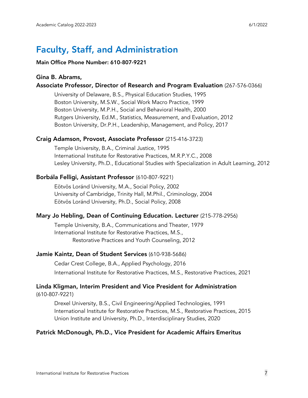# <span id="page-6-0"></span>Faculty, Staff, and Administration

#### Main Office Phone Number: 610-807-9221

#### Gina B. Abrams,

#### Associate Professor, Director of Research and Program Evaluation (267-576-0366)

University of Delaware, B.S., Physical Education Studies, 1995 Boston University, M.S.W., Social Work Macro Practice, 1999 Boston University, M.P.H., Social and Behavioral Health, 2000 Rutgers University, Ed.M., Statistics, Measurement, and Evaluation, 2012 Boston University, Dr.P.H., Leadership, Management, and Policy, 2017

#### Craig Adamson, Provost, Associate Professor (215-416-3723)

Temple University, B.A., Criminal Justice, 1995 International Institute for Restorative Practices, M.R.P.Y.C., 2008 Lesley University, Ph.D., Educational Studies with Specialization in Adult Learning, 2012

#### Borbála Felligi, Assistant Professor (610-807-9221)

 Eötvös Loránd University, M.A., Social Policy, 2002 University of Cambridge, Trinity Hall, M.Phil., Criminology, 2004 Eötvös Loránd University, Ph.D., Social Policy, 2008

#### Mary Jo Hebling, Dean of Continuing Education. Lecturer (215-778-2956)

 Temple University, B.A., Communications and Theater, 1979 International Institute for Restorative Practices, M.S., Restorative Practices and Youth Counseling, 2012

#### Jamie Kaintz, Dean of Student Services (610-938-5686)

Cedar Crest College, B.A., Applied Psychology, 2016 International Institute for Restorative Practices, M.S., Restorative Practices, 2021

#### Linda Kligman, Interim President and Vice President for Administration (610-807-9221)

Drexel University, B.S., Civil Engineering/Applied Technologies, 1991 International Institute for Restorative Practices, M.S., Restorative Practices, 2015 Union Institute and University, Ph.D., Interdisciplinary Studies, 2020

#### Patrick McDonough, Ph.D., Vice President for Academic Affairs Emeritus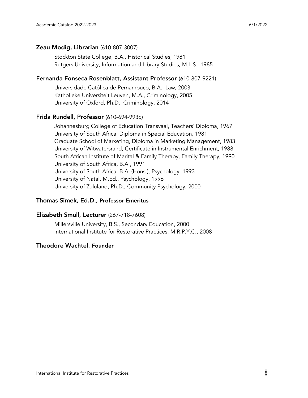#### Zeau Modig, Librarian (610-807-3007)

Stockton State College, B.A., Historical Studies, 1981 Rutgers University, Information and Library Studies, M.L.S., 1985

#### Fernanda Fonseca Rosenblatt, Assistant Professor (610-807-9221)

Universidade Católica de Pernambuco, B.A., Law, 2003 Katholieke Universiteit Leuven, M.A., Criminology, 2005 University of Oxford, Ph.D., Criminology, 2014

#### Frida Rundell, Professor (610-694-9936)

Johannesburg College of Education Transvaal, Teachers' Diploma, 1967 University of South Africa, Diploma in Special Education, 1981 Graduate School of Marketing, Diploma in Marketing Management, 1983 University of Witwatersrand, Certificate in Instrumental Enrichment, 1988 South African Institute of Marital & Family Therapy, Family Therapy, 1990 University of South Africa, B.A., 1991 University of South Africa, B.A. (Hons.), Psychology, 1993 University of Natal, M.Ed., Psychology, 1996 University of Zululand, Ph.D., Community Psychology, 2000

#### Thomas Simek, Ed.D., Professor Emeritus

#### Elizabeth Smull, Lecturer (267-718-7608)

Millersville University, B.S., Secondary Education, 2000 International Institute for Restorative Practices, M.R.P.Y.C., 2008

#### Theodore Wachtel, Founder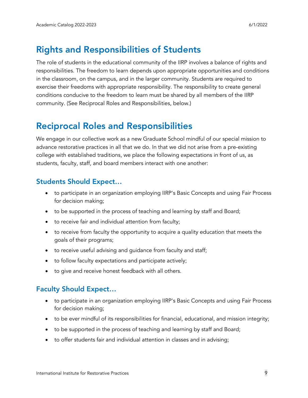# <span id="page-8-0"></span>Rights and Responsibilities of Students

The role of students in the educational community of the IIRP involves a balance of rights and responsibilities. The freedom to learn depends upon appropriate opportunities and conditions in the classroom, on the campus, and in the larger community. Students are required to exercise their freedoms with appropriate responsibility. The responsibility to create general conditions conducive to the freedom to learn must be shared by all members of the IIRP community. (See Reciprocal Roles and Responsibilities, below.)

# <span id="page-8-1"></span>Reciprocal Roles and Responsibilities

We engage in our collective work as a new Graduate School mindful of our special mission to advance restorative practices in all that we do. In that we did not arise from a pre-existing college with established traditions, we place the following expectations in front of us, as students, faculty, staff, and board members interact with one another:

# Students Should Expect…

- to participate in an organization employing IIRP's Basic Concepts and using Fair Process for decision making;
- to be supported in the process of teaching and learning by staff and Board;
- to receive fair and individual attention from faculty;
- to receive from faculty the opportunity to acquire a quality education that meets the goals of their programs;
- to receive useful advising and guidance from faculty and staff;
- to follow faculty expectations and participate actively;
- to give and receive honest feedback with all others.

# Faculty Should Expect…

- to participate in an organization employing IIRP's Basic Concepts and using Fair Process for decision making;
- to be ever mindful of its responsibilities for financial, educational, and mission integrity;
- to be supported in the process of teaching and learning by staff and Board;
- to offer students fair and individual attention in classes and in advising;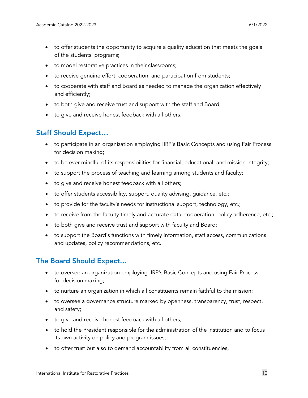- to offer students the opportunity to acquire a quality education that meets the goals of the students' programs;
- to model restorative practices in their classrooms;
- to receive genuine effort, cooperation, and participation from students;
- to cooperate with staff and Board as needed to manage the organization effectively and efficiently;
- to both give and receive trust and support with the staff and Board;
- to give and receive honest feedback with all others.

# Staff Should Expect…

- to participate in an organization employing IIRP's Basic Concepts and using Fair Process for decision making;
- to be ever mindful of its responsibilities for financial, educational, and mission integrity;
- to support the process of teaching and learning among students and faculty;
- to give and receive honest feedback with all others;
- to offer students accessibility, support, quality advising, guidance, etc.;
- to provide for the faculty's needs for instructional support, technology, etc.;
- to receive from the faculty timely and accurate data, cooperation, policy adherence, etc.;
- to both give and receive trust and support with faculty and Board;
- to support the Board's functions with timely information, staff access, communications and updates, policy recommendations, etc.

# The Board Should Expect…

- to oversee an organization employing IIRP's Basic Concepts and using Fair Process for decision making;
- to nurture an organization in which all constituents remain faithful to the mission;
- to oversee a governance structure marked by openness, transparency, trust, respect, and safety;
- to give and receive honest feedback with all others;
- to hold the President responsible for the administration of the institution and to focus its own activity on policy and program issues;
- to offer trust but also to demand accountability from all constituencies;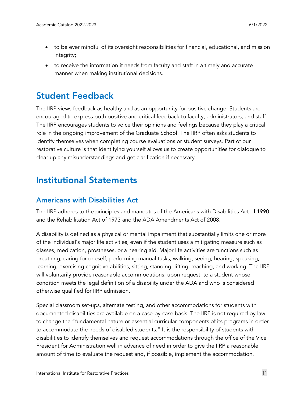- to be ever mindful of its oversight responsibilities for financial, educational, and mission integrity;
- to receive the information it needs from faculty and staff in a timely and accurate manner when making institutional decisions.

# <span id="page-10-0"></span>Student Feedback

The IIRP views feedback as healthy and as an opportunity for positive change. Students are encouraged to express both positive and critical feedback to faculty, administrators, and staff. The IIRP encourages students to voice their opinions and feelings because they play a critical role in the ongoing improvement of the Graduate School. The IIRP often asks students to identify themselves when completing course evaluations or student surveys. Part of our restorative culture is that identifying yourself allows us to create opportunities for dialogue to clear up any misunderstandings and get clarification if necessary.  

# <span id="page-10-1"></span>Institutional Statements

# <span id="page-10-2"></span>Americans with Disabilities Act

The IIRP adheres to the principles and mandates of the Americans with Disabilities Act of 1990 and the Rehabilitation Act of 1973 and the ADA Amendments Act of 2008.

A disability is defined as a physical or mental impairment that substantially limits one or more of the individual's major life activities, even if the student uses a mitigating measure such as glasses, medication, prostheses, or a hearing aid. Major life activities are functions such as breathing, caring for oneself, performing manual tasks, walking, seeing, hearing, speaking, learning, exercising cognitive abilities, sitting, standing, lifting, reaching, and working. The IIRP will voluntarily provide reasonable accommodations, upon request, to a student whose condition meets the legal definition of a disability under the ADA and who is considered otherwise qualified for IIRP admission.

Special classroom set-ups, alternate testing, and other accommodations for students with documented disabilities are available on a case-by-case basis. The IIRP is not required by law to change the "fundamental nature or essential curricular components of its programs in order to accommodate the needs of disabled students." It is the responsibility of students with disabilities to identify themselves and request accommodations through the office of the Vice President for Administration well in advance of need in order to give the IIRP a reasonable amount of time to evaluate the request and, if possible, implement the accommodation.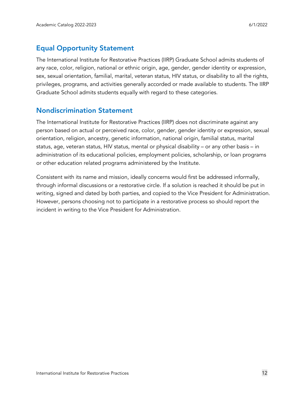# <span id="page-11-0"></span>Equal Opportunity Statement

The International Institute for Restorative Practices (IIRP) Graduate School admits students of any race, color, religion, national or ethnic origin, age, gender, gender identity or expression, sex, sexual orientation, familial, marital, veteran status, HIV status, or disability to all the rights, privileges, programs, and activities generally accorded or made available to students. The IIRP Graduate School admits students equally with regard to these categories.

## <span id="page-11-1"></span>Nondiscrimination Statement

The International Institute for Restorative Practices (IIRP) does not discriminate against any person based on actual or perceived race, color, gender, gender identity or expression, sexual orientation, religion, ancestry, genetic information, national origin, familial status, marital status, age, veteran status, HIV status, mental or physical disability – or any other basis – in administration of its educational policies, employment policies, scholarship, or loan programs or other education related programs administered by the Institute.

Consistent with its name and mission, ideally concerns would first be addressed informally, through informal discussions or a restorative circle. If a solution is reached it should be put in writing, signed and dated by both parties, and copied to the Vice President for Administration. However, persons choosing not to participate in a restorative process so should report the incident in writing to the Vice President for Administration.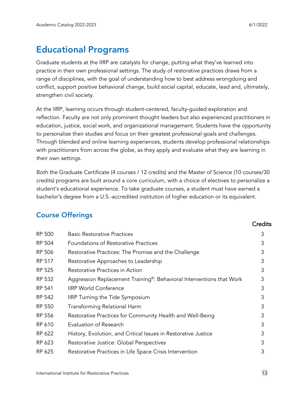# <span id="page-12-0"></span>Educational Programs

Graduate students at the IIRP are catalysts for change, putting what they've learned into practice in their own professional settings. The study of restorative practices draws from a range of disciplines, with the goal of understanding how to best address wrongdoing and conflict, support positive behavioral change, build social capital, educate, lead and, ultimately, strengthen civil society.

At the IIRP, learning occurs through student-centered, faculty-guided exploration and reflection. Faculty are not only prominent thought leaders but also experienced practitioners in education, justice, social work, and organizational management. Students have the opportunity to personalize their studies and focus on their greatest professional goals and challenges. Through blended and online learning experiences, students develop professional relationships with practitioners from across the globe, as they apply and evaluate what they are learning in their own settings.

Both the Graduate Certificate (4 courses / 12 credits) and the Master of Science (10 courses/30 credits) programs are built around a core curriculum, with a choice of electives to personalize a student's educational experience. To take graduate courses, a student must have earned a bachelor's degree from a U.S.-accredited institution of higher education or its equivalent.

# <span id="page-12-1"></span>Course Offerings

|               |                                                                      | <b>Credits</b> |
|---------------|----------------------------------------------------------------------|----------------|
| <b>RP 500</b> | <b>Basic Restorative Practices</b>                                   | 3              |
| RP 504        | <b>Foundations of Restorative Practices</b>                          | 3              |
| RP 506        | Restorative Practices: The Promise and the Challenge                 | 3              |
| RP 517        | Restorative Approaches to Leadership                                 | 3              |
| RP 525        | Restorative Practices in Action                                      | 3              |
| RP 532        | Aggression Replacement Training®: Behavioral Interventions that Work | 3              |
| RP 541        | <b>IIRP World Conference</b>                                         | 3              |
| RP 542        | <b>IIRP Turning the Tide Symposium</b>                               | 3              |
| RP 550        | Transforming Relational Harm                                         | 3              |
| RP 556        | Restorative Practices for Community Health and Well-Being            | 3              |
| RP 610        | Evaluation of Research                                               | 3              |
| RP 622        | History, Evolution, and Critical Issues in Restorative Justice       | 3              |
| RP 623        | Restorative Justice: Global Perspectives                             | 3              |
| RP 625        | Restorative Practices in Life Space Crisis Intervention              | 3              |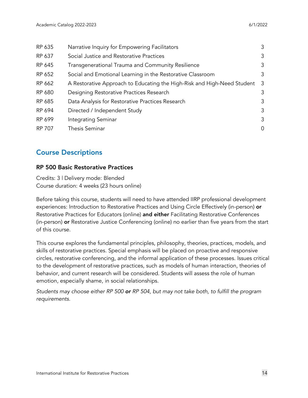| RP 635 | Narrative Inquiry for Empowering Facilitators                           | 3 |
|--------|-------------------------------------------------------------------------|---|
| RP 637 | Social Justice and Restorative Practices                                | 3 |
| RP 645 | Transgenerational Trauma and Community Resilience                       | 3 |
| RP 652 | Social and Emotional Learning in the Restorative Classroom              | 3 |
| RP 662 | A Restorative Approach to Educating the High-Risk and High-Need Student | 3 |
| RP 680 | Designing Restorative Practices Research                                | 3 |
| RP 685 | Data Analysis for Restorative Practices Research                        | 3 |
| RP 694 | Directed / Independent Study                                            | 3 |
| RP 699 | Integrating Seminar                                                     | 3 |
| RP 707 | <b>Thesis Seminar</b>                                                   | 0 |
|        |                                                                         |   |

# <span id="page-13-0"></span>Course Descriptions

#### RP 500 Basic Restorative Practices

Credits: 3 | Delivery mode: Blended Course duration: 4 weeks (23 hours online)

Before taking this course, students will need to have attended IIRP professional development experiences: Introduction to Restorative Practices and Using Circle Effectively (in-person) or Restorative Practices for Educators (online) and either Facilitating Restorative Conferences (in-person) or Restorative Justice Conferencing (online) no earlier than five years from the start of this course.

This course explores the fundamental principles, philosophy, theories, practices, models, and skills of restorative practices. Special emphasis will be placed on proactive and responsive circles, restorative conferencing, and the informal application of these processes. Issues critical to the development of restorative practices, such as models of human interaction, theories of behavior, and current research will be considered. Students will assess the role of human emotion, especially shame, in social relationships.

*Students may choose either RP 500 or RP 504, but may not take both, to fulfill the program requirements.*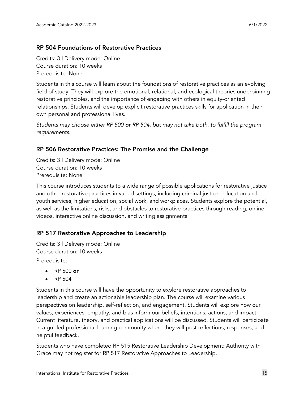#### RP 504 Foundations of Restorative Practices

Credits: 3 | Delivery mode: Online Course duration: 10 weeks Prerequisite: None

Students in this course will learn about the foundations of restorative practices as an evolving field of study. They will explore the emotional, relational, and ecological theories underpinning restorative principles, and the importance of engaging with others in equity-oriented relationships. Students will develop explicit restorative practices skills for application in their own personal and professional lives.

*Students may choose either RP 500 or RP 504, but may not take both, to fulfill the program requirements.*

#### RP 506 Restorative Practices: The Promise and the Challenge

Credits: 3 | Delivery mode: Online Course duration: 10 weeks Prerequisite: None

This course introduces students to a wide range of possible applications for restorative justice and other restorative practices in varied settings, including criminal justice, education and youth services, higher education, social work, and workplaces. Students explore the potential, as well as the limitations, risks, and obstacles to restorative practices through reading, online videos, interactive online discussion, and writing assignments.

#### RP 517 Restorative Approaches to Leadership

Credits: 3 | Delivery mode: Online Course duration: 10 weeks Prerequisite:

- RP 500 or
- RP 504

Students in this course will have the opportunity to explore restorative approaches to leadership and create an actionable leadership plan. The course will examine various perspectives on leadership, self-reflection, and engagement. Students will explore how our values, experiences, empathy, and bias inform our beliefs, intentions, actions, and impact. Current literature, theory, and practical applications will be discussed. Students will participate in a guided professional learning community where they will post reflections, responses, and helpful feedback.

Students who have completed RP 515 Restorative Leadership Development: Authority with Grace may not register for RP 517 Restorative Approaches to Leadership.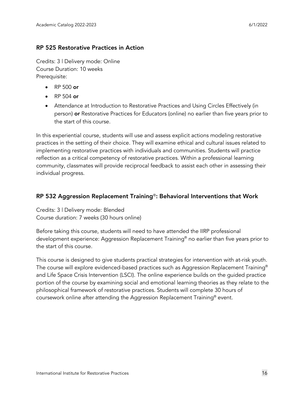#### RP 525 Restorative Practices in Action

Credits: 3 | Delivery mode: Online Course Duration: 10 weeks Prerequisite:

- RP 500 or
- RP 504 or
- Attendance at Introduction to Restorative Practices and Using Circles Effectively (in person) or Restorative Practices for Educators (online) no earlier than five years prior to the start of this course.

In this experiential course, students will use and assess explicit actions modeling restorative practices in the setting of their choice. They will examine ethical and cultural issues related to implementing restorative practices with individuals and communities. Students will practice reflection as a critical competency of restorative practices. Within a professional learning community, classmates will provide reciprocal feedback to assist each other in assessing their individual progress.

#### RP 532 Aggression Replacement Training®: Behavioral Interventions that Work

Credits: 3 | Delivery mode: Blended Course duration: 7 weeks (30 hours online)

Before taking this course, students will need to have attended the IIRP professional development experience: Aggression Replacement Training® no earlier than five years prior to the start of this course.

This course is designed to give students practical strategies for intervention with at-risk youth. The course will explore evidenced-based practices such as Aggression Replacement Training® and Life Space Crisis Intervention (LSCI). The online experience builds on the guided practice portion of the course by examining social and emotional learning theories as they relate to the philosophical framework of restorative practices. Students will complete 30 hours of coursework online after attending the Aggression Replacement Training® event.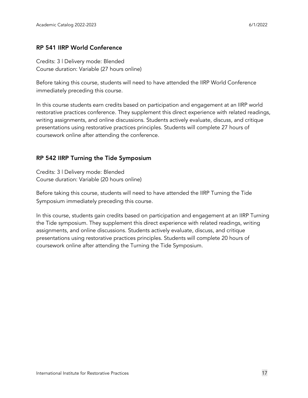#### RP 541 IIRP World Conference

Credits: 3 | Delivery mode: Blended Course duration: Variable (27 hours online)

Before taking this course, students will need to have attended the IIRP World Conference immediately preceding this course.

In this course students earn credits based on participation and engagement at an IIRP world restorative practices conference. They supplement this direct experience with related readings, writing assignments, and online discussions. Students actively evaluate, discuss, and critique presentations using restorative practices principles. Students will complete 27 hours of coursework online after attending the conference.

#### RP 542 IIRP Turning the Tide Symposium

Credits: 3 | Delivery mode: Blended Course duration: Variable (20 hours online)

Before taking this course, students will need to have attended the IIRP Turning the Tide Symposium immediately preceding this course.

In this course, students gain credits based on participation and engagement at an IIRP Turning the Tide symposium. They supplement this direct experience with related readings, writing assignments, and online discussions. Students actively evaluate, discuss, and critique presentations using restorative practices principles. Students will complete 20 hours of coursework online after attending the Turning the Tide Symposium.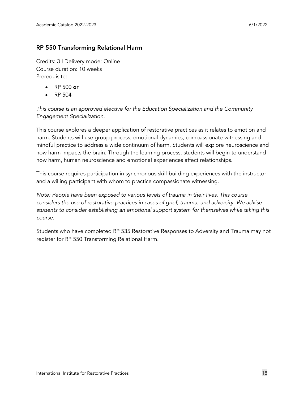#### RP 550 Transforming Relational Harm

Credits: 3 | Delivery mode: Online Course duration: 10 weeks Prerequisite:

- RP 500 or
- RP 504

*This course is an approved elective for the Education Specialization and the Community Engagement Specialization.*

This course explores a deeper application of restorative practices as it relates to emotion and harm. Students will use group process, emotional dynamics, compassionate witnessing and mindful practice to address a wide continuum of harm. Students will explore neuroscience and how harm impacts the brain. Through the learning process, students will begin to understand how harm, human neuroscience and emotional experiences affect relationships.

This course requires participation in synchronous skill-building experiences with the instructor and a willing participant with whom to practice compassionate witnessing.

*Note: People have been exposed to various levels of trauma in their lives. This course considers the use of restorative practices in cases of grief, trauma, and adversity. We advise students to consider establishing an emotional support system for themselves while taking this course.*

Students who have completed RP 535 Restorative Responses to Adversity and Trauma may not register for RP 550 Transforming Relational Harm.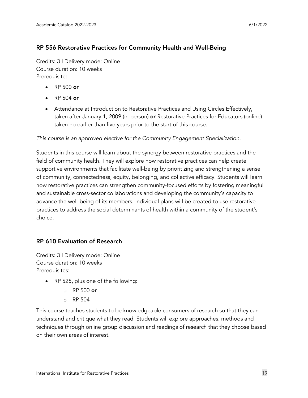#### RP 556 Restorative Practices for Community Health and Well-Being

Credits: 3 | Delivery mode: Online Course duration: 10 weeks Prerequisite:

- RP 500 or
- RP 504 or
- Attendance at Introduction to Restorative Practices and Using Circles Effectively, taken after January 1, 2009 (in person) or Restorative Practices for Educators (online) taken no earlier than five years prior to the start of this course.

*This course is an approved elective for the Community Engagement Specialization.*

Students in this course will learn about the synergy between restorative practices and the field of community health. They will explore how restorative practices can help create supportive environments that facilitate well-being by prioritizing and strengthening a sense of community, connectedness, equity, belonging, and collective efficacy. Students will learn how restorative practices can strengthen community-focused efforts by fostering meaningful and sustainable cross-sector collaborations and developing the community's capacity to advance the well-being of its members. Individual plans will be created to use restorative practices to address the social determinants of health within a community of the student's choice.

#### RP 610 Evaluation of Research

Credits: 3 | Delivery mode: Online Course duration: 10 weeks Prerequisites:

- RP 525, plus one of the following:
	- $\circ$  RP 500 or
	- $\circ$  RP 504

This course teaches students to be knowledgeable consumers of research so that they can understand and critique what they read. Students will explore approaches, methods and techniques through online group discussion and readings of research that they choose based on their own areas of interest.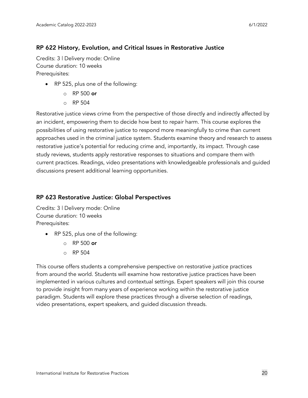#### RP 622 History, Evolution, and Critical Issues in Restorative Justice

Credits: 3 | Delivery mode: Online Course duration: 10 weeks Prerequisites:

- RP 525, plus one of the following:
	- $\circ$  RP 500 or
	- o RP 504

Restorative justice views crime from the perspective of those directly and indirectly affected by an incident, empowering them to decide how best to repair harm. This course explores the possibilities of using restorative justice to respond more meaningfully to crime than current approaches used in the criminal justice system. Students examine theory and research to assess restorative justice's potential for reducing crime and, importantly, its impact. Through case study reviews, students apply restorative responses to situations and compare them with current practices. Readings, video presentations with knowledgeable professionals and guided discussions present additional learning opportunities.

#### RP 623 Restorative Justice: Global Perspectives

Credits: 3 | Delivery mode: Online Course duration: 10 weeks Prerequisites:

- RP 525, plus one of the following:
	- $\circ$  RP 500 or
	- $\circ$  RP 504

This course offers students a comprehensive perspective on restorative justice practices from around the world. Students will examine how restorative justice practices have been implemented in various cultures and contextual settings. Expert speakers will join this course to provide insight from many years of experience working within the restorative justice paradigm. Students will explore these practices through a diverse selection of readings, video presentations, expert speakers, and guided discussion threads.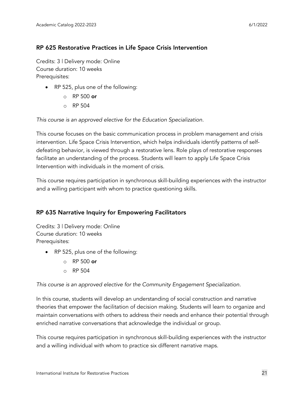#### RP 625 Restorative Practices in Life Space Crisis Intervention

Credits: 3 | Delivery mode: Online Course duration: 10 weeks Prerequisites:

- RP 525, plus one of the following:
	- $\circ$  RP 500 or
	- o RP 504

*This course is an approved elective for the Education Specialization.*

This course focuses on the basic communication process in problem management and crisis intervention. Life Space Crisis Intervention, which helps individuals identify patterns of selfdefeating behavior, is viewed through a restorative lens. Role plays of restorative responses facilitate an understanding of the process. Students will learn to apply Life Space Crisis Intervention with individuals in the moment of crisis.

This course requires participation in synchronous skill-building experiences with the instructor and a willing participant with whom to practice questioning skills.

#### RP 635 Narrative Inquiry for Empowering Facilitators

Credits: 3 | Delivery mode: Online Course duration: 10 weeks Prerequisites:

- RP 525, plus one of the following:
	- $\circ$  RP 500 or
	- $\circ$  RP 504

*This course is an approved elective for the Community Engagement Specialization.*

In this course, students will develop an understanding of social construction and narrative theories that empower the facilitation of decision making. Students will learn to organize and maintain conversations with others to address their needs and enhance their potential through enriched narrative conversations that acknowledge the individual or group.

This course requires participation in synchronous skill-building experiences with the instructor and a willing individual with whom to practice six different narrative maps.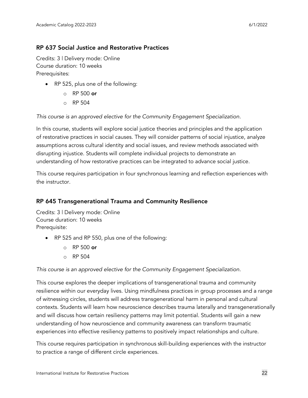#### RP 637 Social Justice and Restorative Practices

Credits: 3 | Delivery mode: Online Course duration: 10 weeks Prerequisites:

- RP 525, plus one of the following:
	- $\circ$  RP 500 or
	- o RP 504

*This course is an approved elective for the Community Engagement Specialization.*

In this course, students will explore social justice theories and principles and the application of restorative practices in social causes. They will consider patterns of social injustice, analyze assumptions across cultural identity and social issues, and review methods associated with disrupting injustice. Students will complete individual projects to demonstrate an understanding of how restorative practices can be integrated to advance social justice.

This course requires participation in four synchronous learning and reflection experiences with the instructor.

#### RP 645 Transgenerational Trauma and Community Resilience

Credits: 3 | Delivery mode: Online Course duration: 10 weeks Prerequisite:

- RP 525 and RP 550, plus one of the following:
	- $\circ$  RP 500 or
	- o RP 504

*This course is an approved elective for the Community Engagement Specialization.*

This course explores the deeper implications of transgenerational trauma and community resilience within our everyday lives. Using mindfulness practices in group processes and a range of witnessing circles, students will address transgenerational harm in personal and cultural contexts. Students will learn how neuroscience describes trauma laterally and transgenerationally and will discuss how certain resiliency patterns may limit potential. Students will gain a new understanding of how neuroscience and community awareness can transform traumatic experiences into effective resiliency patterns to positively impact relationships and culture.

This course requires participation in synchronous skill-building experiences with the instructor to practice a range of different circle experiences.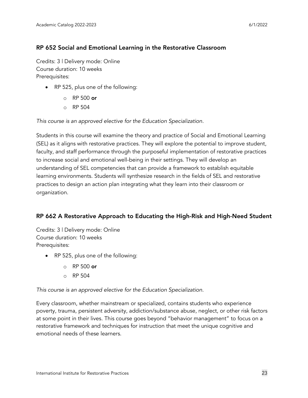#### RP 652 Social and Emotional Learning in the Restorative Classroom

Credits: 3 | Delivery mode: Online Course duration: 10 weeks Prerequisites:

- RP 525, plus one of the following:
	- $\circ$  RP 500 or
	- o RP 504

*This course is an approved elective for the Education Specialization.*

Students in this course will examine the theory and practice of Social and Emotional Learning (SEL) as it aligns with restorative practices. They will explore the potential to improve student, faculty, and staff performance through the purposeful implementation of restorative practices to increase social and emotional well-being in their settings. They will develop an understanding of SEL competencies that can provide a framework to establish equitable learning environments. Students will synthesize research in the fields of SEL and restorative practices to design an action plan integrating what they learn into their classroom or organization.

#### RP 662 A Restorative Approach to Educating the High-Risk and High-Need Student

Credits: 3 | Delivery mode: Online Course duration: 10 weeks Prerequisites:

- RP 525, plus one of the following:
	- $\circ$  RP 500 or
	- o RP 504

*This course is an approved elective for the Education Specialization.*

Every classroom, whether mainstream or specialized, contains students who experience poverty, trauma, persistent adversity, addiction/substance abuse, neglect, or other risk factors at some point in their lives. This course goes beyond "behavior management" to focus on a restorative framework and techniques for instruction that meet the unique cognitive and emotional needs of these learners.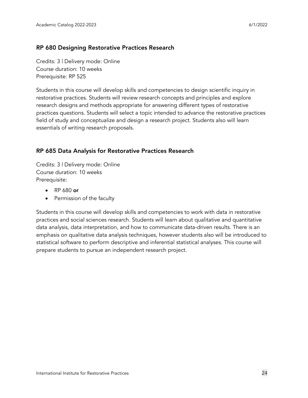#### RP 680 Designing Restorative Practices Research

Credits: 3 | Delivery mode: Online Course duration: 10 weeks Prerequisite: RP 525

Students in this course will develop skills and competencies to design scientific inquiry in restorative practices. Students will review research concepts and principles and explore research designs and methods appropriate for answering different types of restorative practices questions. Students will select a topic intended to advance the restorative practices field of study and conceptualize and design a research project. Students also will learn essentials of writing research proposals.

#### RP 685 Data Analysis for Restorative Practices Research

Credits: 3 | Delivery mode: Online Course duration: 10 weeks Prerequisite:

- RP 680 or
- Permission of the faculty

Students in this course will develop skills and competencies to work with data in restorative practices and social sciences research. Students will learn about qualitative and quantitative data analysis, data interpretation, and how to communicate data-driven results. There is an emphasis on qualitative data analysis techniques, however students also will be introduced to statistical software to perform descriptive and inferential statistical analyses. This course will prepare students to pursue an independent research project.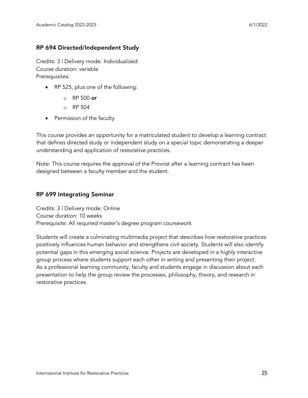#### RP 694 Directed/Independent Study

Credits: 3 | Delivery mode: Individualized Course duration: variable Prerequisites:

- RP 525, plus one of the following:
	- $\circ$  RP 500 or
	- o RP 504
- Permission of the faculty

This course provides an opportunity for a matriculated student to develop a learning contract that defines directed study or independent study on a special topic demonstrating a deeper understanding and application of restorative practices.

Note: This course requires the approval of the Provost after a learning contract has been designed between a faculty member and the student.

#### RP 699 Integrating Seminar

Credits: 3 | Delivery mode: Online Course duration: 10 weeks Prerequisite: All required master's degree program coursework

Students will create a culminating multimedia project that describes how restorative practices positively influences human behavior and strengthens civil society. Students will also identify potential gaps in this emerging social science. Projects are developed in a highly interactive group process where students support each other in writing and presenting their project. As a professional learning community, faculty and students engage in discussion about each presentation to help the group review the processes, philosophy, theory, and research in restorative practices.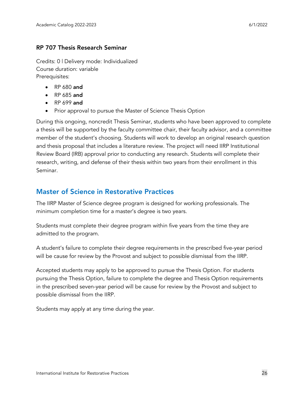#### RP 707 Thesis Research Seminar

Credits: 0 | Delivery mode: Individualized Course duration: variable Prerequisites:

- RP 680 and
- RP 685 and
- RP 699 and
- Prior approval to pursue the Master of Science Thesis Option

During this ongoing, noncredit Thesis Seminar, students who have been approved to complete a thesis will be supported by the faculty committee chair, their faculty advisor, and a committee member of the student's choosing. Students will work to develop an original research question and thesis proposal that includes a literature review. The project will need IIRP Institutional Review Board (IRB) approval prior to conducting any research. Students will complete their research, writing, and defense of their thesis within two years from their enrollment in this Seminar.

# <span id="page-25-0"></span>Master of Science in Restorative Practices

The IIRP Master of Science degree program is designed for working professionals. The minimum completion time for a master's degree is two years.

Students must complete their degree program within five years from the time they are admitted to the program.

A student's failure to complete their degree requirements in the prescribed five-year period will be cause for review by the Provost and subject to possible dismissal from the IIRP.

Accepted students may apply to be approved to pursue the Thesis Option. For students pursuing the Thesis Option, failure to complete the degree and Thesis Option requirements in the prescribed seven-year period will be cause for review by the Provost and subject to possible dismissal from the IIRP.

Students may apply at any time during the year.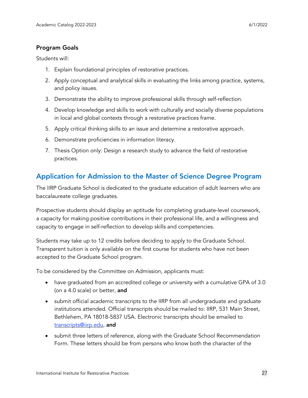#### Program Goals

Students will:

- 1. Explain foundational principles of restorative practices.
- 2. Apply conceptual and analytical skills in evaluating the links among practice, systems, and policy issues.
- 3. Demonstrate the ability to improve professional skills through self-reflection.
- 4. Develop knowledge and skills to work with culturally and socially diverse populations in local and global contexts through a restorative practices frame.
- 5. Apply critical thinking skills to an issue and determine a restorative approach.
- 6. Demonstrate proficiencies in information literacy.
- 7. Thesis Option only: Design a research study to advance the field of restorative practices.

# <span id="page-26-0"></span>Application for Admission to the Master of Science Degree Program

The IIRP Graduate School is dedicated to the graduate education of adult learners who are baccalaureate college graduates.

Prospective students should display an aptitude for completing graduate-level coursework, a capacity for making positive contributions in their professional life, and a willingness and capacity to engage in self-reflection to develop skills and competencies.

Students may take up to 12 credits before deciding to apply to the Graduate School. Transparent tuition is only available on the first course for students who have not been accepted to the Graduate School program.

To be considered by the Committee on Admission, applicants must:

- have graduated from an accredited college or university with a cumulative GPA of 3.0 (on a 4.0 scale) or better, and
- submit official academic transcripts to the IIRP from all undergraduate and graduate institutions attended. Official transcripts should be mailed to: IIRP, 531 Main Street, Bethlehem, PA 18018-5837 USA. Electronic transcripts should be emailed to [transcripts@iirp.edu,](mailto:transcripts@iirp.edu) and
- submit three letters of reference, along with the Graduate School [Recommendation](https://www.iirp.edu/images/pdf/Grad_School_Recommendation_IIRP.pdf) [Form.](https://www.iirp.edu/images/pdf/Grad_School_Recommendation_IIRP.pdf) These letters should be from persons who know both the character of the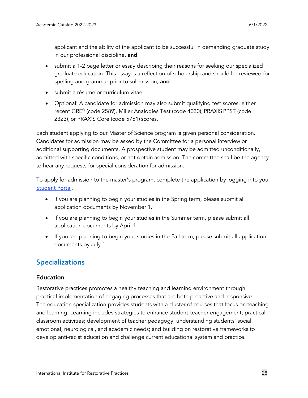applicant and the ability of the applicant to be successful in demanding graduate study in our professional discipline, and

- submit a 1-2 page letter or essay describing their reasons for seeking our specialized graduate education. This essay is a reflection of scholarship and should be reviewed for spelling and grammar prior to submission, and
- submit a résumé or curriculum vitae.
- Optional: A candidate for admission may also submit qualifying test scores, either recent GRE® (code 2589), Miller Analogies Test (code 4030), PRAXIS PPST (code 2323), or PRAXIS Core (code 5751) scores.

Each student applying to our Master of Science program is given personal consideration. Candidates for admission may be asked by the Committee for a personal interview or additional supporting documents. A prospective student may be admitted unconditionally, admitted with specific conditions, or not obtain admission. The committee shall be the agency to hear any requests for special consideration for admission.

To apply for admission to the master's program, complete the application by logging into your [Student](https://www.iirp.edu/student/student_login.php) Portal.

- If you are planning to begin your studies in the Spring term, please submit all application documents by November 1.
- If you are planning to begin your studies in the Summer term, please submit all application documents by April 1.
- If you are planning to begin your studies in the Fall term, please submit all application documents by July 1.

# <span id="page-27-0"></span>**Specializations**

#### Education

Restorative practices promotes a healthy teaching and learning environment through practical implementation of engaging processes that are both proactive and responsive. The education specialization provides students with a cluster of courses that focus on teaching and learning. Learning includes strategies to enhance student-teacher engagement; practical classroom activities; development of teacher pedagogy; understanding students' social, emotional, neurological, and academic needs; and building on restorative frameworks to develop anti-racist education and challenge current educational system and practice.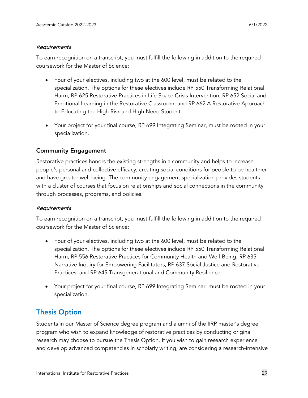#### Requirements

To earn recognition on a transcript, you must fulfill the following in addition to the required coursework for the Master of Science:

- Four of your electives, including two at the 600 level, must be related to the specialization. The options for these electives include RP 550 Transforming Relational Harm, RP 625 Restorative Practices in Life Space Crisis Intervention, RP 652 Social and Emotional Learning in the Restorative Classroom, and RP 662 A Restorative Approach to Educating the High Risk and High Need Student.
- Your project for your final course, RP 699 Integrating Seminar, must be rooted in your specialization.

#### Community Engagement

Restorative practices honors the existing strengths in a community and helps to increase people's personal and collective efficacy, creating social conditions for people to be healthier and have greater well-being. The community engagement specialization provides students with a cluster of courses that focus on relationships and social connections in the community through processes, programs, and policies.

#### Requirements

To earn recognition on a transcript, you must fulfill the following in addition to the required coursework for the Master of Science:

- Four of your electives, including two at the 600 level, must be related to the specialization. The options for these electives include RP 550 Transforming Relational Harm, RP 556 Restorative Practices for Community Health and Well-Being, RP 635 Narrative Inquiry for Empowering Facilitators, RP 637 Social Justice and Restorative Practices, and RP 645 Transgenerational and Community Resilience.
- Your project for your final course, RP 699 Integrating Seminar, must be rooted in your specialization.

# <span id="page-28-0"></span>Thesis Option

Students in our Master of Science degree program and alumni of the IIRP master's degree program who wish to expand knowledge of restorative practices by conducting original research may choose to pursue the Thesis Option. If you wish to gain research experience and develop advanced competencies in scholarly writing, are considering a research-intensive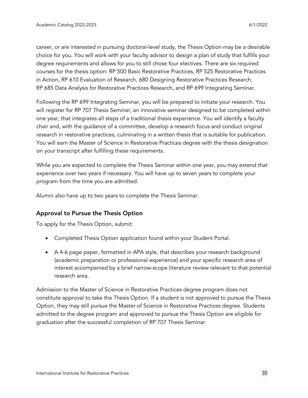career, or are interested in pursuing doctoral-level study, the Thesis Option may be a desirable choice for you. You will work with your faculty advisor to design a plan of study that fulfills your degree requirements and allows for you to still chose four electives. There are six required courses for the thesis option: RP 500 Basic Restorative Practices, RP 525 Restorative Practices in Action, RP 610 Evaluation of Research, 680 Designing Restorative Practices Research, RP 685 Data Analysis for Restorative Practices Research, and RP 699 Integrating Seminar.

Following the RP 699 Integrating Seminar, you will be prepared to initiate your research. You will register for RP 707 Thesis Seminar, an innovative seminar designed to be completed within one year, that integrates all steps of a traditional thesis experience. You will identify a faculty chair and, with the guidance of a committee, develop a research focus and conduct original research in restorative practices, culminating in a written thesis that is suitable for publication. You will earn the Master of Science in Restorative Practices degree with the thesis designation on your transcript after fulfilling these requirements.

While you are expected to complete the Thesis Seminar within one year, you may extend that experience over two years if necessary. You will have up to seven years to complete your program from the time you are admitted.

Alumni also have up to two years to complete the Thesis Seminar.

#### Approval to Pursue the Thesis Option

To apply for the Thesis Option, submit:

- Completed Thesis Option application found within your Student Portal.
- A 4-6 page paper, formatted in APA style, that describes your research background (academic preparation or professional experience) and your specific research area of interest accompanied by a brief narrow-scope literature review relevant to that potential research area.

Admission to the Master of Science in Restorative Practices degree program does not constitute approval to take the Thesis Option. If a student is not approved to pursue the Thesis Option, they may still pursue the Master of Science in Restorative Practices degree. Students admitted to the degree program and approved to pursue the Thesis Option are eligible for graduation after the successful completion of RP 707 Thesis Seminar.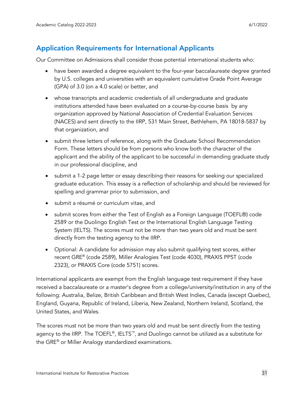# <span id="page-30-0"></span>Application Requirements for International Applicants

Our Committee on Admissions shall consider those potential international students who:

- have been awarded a degree equivalent to the four-year baccalaureate degree granted by U.S. colleges and universities with an equivalent cumulative Grade Point Average (GPA) of 3.0 (on a 4.0 scale) or better, and
- whose transcripts and academic credentials of all undergraduate and graduate institutions attended have been evaluated on a course-by-course basis by any organization approved by National [Association](http://www.naces.org/members.html) of Credential Evaluation Services [\(NACES\)](http://www.naces.org/members.html) and sent directly to the IIRP, 531 Main Street, Bethlehem, PA 18018-5837 by that organization, and
- submit three letters of reference, along with the Graduate School [Recommendation](https://www.iirp.edu/images/pdf/Grad_School_Recommendation_IIRP.pdf) [Form.](https://www.iirp.edu/images/pdf/Grad_School_Recommendation_IIRP.pdf) These letters should be from persons who know both the character of the applicant and the ability of the applicant to be successful in demanding graduate study in our professional discipline, and
- submit a 1-2 page letter or essay describing their reasons for seeking our specialized graduate education. This essay is a reflection of scholarship and should be reviewed for spelling and grammar prior to submission, and
- submit a résumé or curriculum vitae, and
- submit scores from either the Test of English as a Foreign Language [\(TOEFL®\)](http://www.ets.org/) code 2589 or the [Duolingo](https://englishtest.duolingo.com/applicants) English Test or the International English Language Testing System [\(IELTS\)](http://www.ielts.org/). The scores must not be more than two years old and must be sent directly from the testing agency to the IIRP.
- Optional: A candidate for admission may also submit qualifying test scores, either recent GRE® (code 2589), Miller Analogies Test (code 4030), PRAXIS PPST (code 2323), or PRAXIS Core (code 5751) scores.

International applicants are exempt from the English language test requirement if they have received a baccalaureate or a master's degree from a college/university/institution in any of the following: Australia, Belize, British Caribbean and British West Indies, Canada (except Quebec), England, Guyana, Republic of Ireland, Liberia, New Zealand, Northern Ireland, Scotland, the United States, and Wales.

The scores must not be more than two years old and must be sent directly from the testing agency to the IIRP. The TOEFL<sup>®</sup>, IELTS<sup>™</sup>, and Duolingo cannot be utilized as a substitute for the GRE® or Miller Analogy standardized examinations.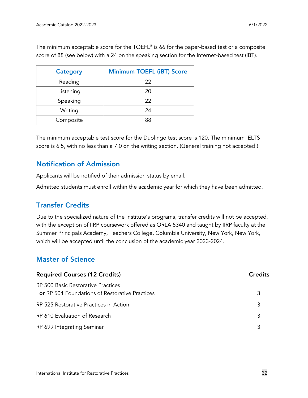The minimum acceptable score for the TOEFL® is 66 for the paper-based test or a composite score of 88 (see below) with a 24 on the speaking section for the Internet-based test (iBT).

| <b>Category</b> | <b>Minimum TOEFL (iBT) Score</b> |
|-----------------|----------------------------------|
| Reading         | 22                               |
| Listening       | 20                               |
| Speaking        | 22                               |
| Writing         | 24                               |
| Composite       | 88                               |

The minimum acceptable test score for the Duolingo test score is 120. The minimum IELTS score is 6.5, with no less than a 7.0 on the writing section. (General training not accepted.)

# <span id="page-31-0"></span>Notification of Admission

Applicants will be notified of their admission status by email.

Admitted students must enroll within the academic year for which they have been admitted.

# <span id="page-31-1"></span>Transfer Credits

Due to the specialized nature of the Institute's programs, transfer credits will not be accepted, with the exception of IIRP coursework offered as ORLA 5340 and taught by IIRP faculty at the Summer Principals Academy, Teachers College, Columbia University, New York, New York, which will be accepted until the conclusion of the academic year 2023-2024.

# <span id="page-31-2"></span>Master of Science

| <b>Required Courses (12 Credits)</b>                                                 |   |
|--------------------------------------------------------------------------------------|---|
| RP 500 Basic Restorative Practices<br>or RP 504 Foundations of Restorative Practices | 3 |
| RP 525 Restorative Practices in Action                                               | 3 |
| RP 610 Evaluation of Research                                                        | 3 |
| RP 699 Integrating Seminar                                                           |   |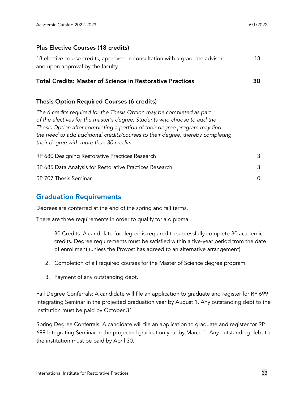#### Plus Elective Courses (18 credits)

| 18 elective course credits, approved in consultation with a graduate advisor | 18 |
|------------------------------------------------------------------------------|----|
| and upon approval by the faculty.                                            |    |

#### Total Credits: Master of Science in Restorative Practices 30

#### Thesis Option Required Courses (6 credits)

*The 6 credits required for the Thesis Option may be completed as part of the electives for the master's degree. Students who choose to add the Thesis Option after completing a portion of their degree program may find the need to add additional credits/courses to their degree, thereby completing their degree with more than 30 credits.*

| RP 680 Designing Restorative Practices Research         |  |
|---------------------------------------------------------|--|
| RP 685 Data Analysis for Restorative Practices Research |  |
| RP 707 Thesis Seminar                                   |  |

## <span id="page-32-0"></span>Graduation Requirements

Degrees are conferred at the end of the spring and fall terms.

There are three requirements in order to qualify for a diploma:

- 1. 30 Credits. A candidate for degree is required to successfully complete 30 academic credits. Degree requirements must be satisfied within a five-year period from the date of enrollment (unless the Provost has agreed to an alternative arrangement).
- 2. Completion of all required courses for the Master of Science degree program.
- 3. Payment of any outstanding debt.

Fall Degree Conferrals: A candidate will file an application to graduate and register for RP 699 Integrating Seminar in the projected graduation year by August 1. Any outstanding debt to the institution must be paid by October 31.

Spring Degree Conferrals: A candidate will file an application to graduate and register for RP 699 Integrating Seminar in the projected graduation year by March 1. Any outstanding debt to the institution must be paid by April 30.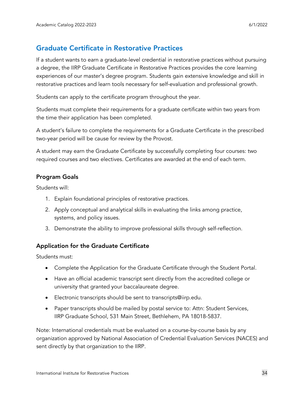# <span id="page-33-0"></span>Graduate Certificate in Restorative Practices

If a student wants to earn a graduate-level credential in restorative practices without pursuing a degree, the IIRP Graduate Certificate in Restorative Practices provides the core learning experiences of our master's degree program. Students gain extensive knowledge and skill in restorative practices and learn tools necessary for self-evaluation and professional growth.

Students can apply to the certificate program throughout the year.

Students must complete their requirements for a graduate certificate within two years from the time their application has been completed.

A student's failure to complete the requirements for a Graduate Certificate in the prescribed two-year period will be cause for review by the Provost.

A student may earn the Graduate Certificate by successfully completing four courses: two required courses and two electives. Certificates are awarded at the end of each term.

#### Program Goals

Students will:

- 1. Explain foundational principles of restorative practices.
- 2. Apply conceptual and analytical skills in evaluating the links among practice, systems, and policy issues.
- 3. Demonstrate the ability to improve professional skills through self-reflection.

#### Application for the Graduate Certificate

Students must:

- Complete the Application for the Graduate Certificate through the Student Portal.
- Have an official academic transcript sent directly from the accredited college or university that granted your baccalaureate degree.
- Electronic transcripts should be sent to [transcripts@iirp.edu.](mailto:transcripts@iirp.edu)
- Paper transcripts should be mailed by postal service to: Attn: Student Services, IIRP Graduate School, 531 Main Street, Bethlehem, PA 18018-5837.

Note: International credentials must be evaluated on a course-by-course basis by any organization approved by National [Association](http://www.naces.org/members) of Credential Evaluation Services (NACES) and sent directly by that organization to the IIRP.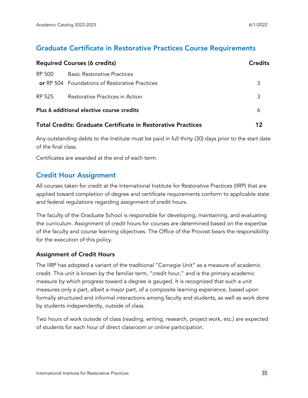## <span id="page-34-0"></span>Graduate Certificate in Restorative Practices Course Requirements

| <b>Required Courses (6 credits)</b>                          |                                                       | <b>Credits</b> |
|--------------------------------------------------------------|-------------------------------------------------------|----------------|
| RP 500                                                       | <b>Basic Restorative Practices</b>                    |                |
|                                                              | <b>or</b> RP 504 Foundations of Restorative Practices | 3              |
| RP 525                                                       | Restorative Practices in Action                       | 3              |
|                                                              | Plus 6 additional elective course credits             | 6              |
| Total Credits: Graduate Certificate in Restorative Practices |                                                       |                |

Any outstanding debts to the Institute must be paid in full thirty (30) days prior to the start date of the final class.

Certificates are awarded at the end of each term.

## <span id="page-34-1"></span>Credit Hour Assignment

All courses taken for credit at the International Institute for Restorative Practices (IIRP) that are applied toward completion of degree and certificate requirements conform to applicable state and federal regulations regarding assignment of credit hours.

The faculty of the Graduate School is responsible for developing, maintaining, and evaluating the curriculum. Assignment of credit hours for courses are determined based on the expertise of the faculty and course learning objectives. The Office of the Provost bears the responsibility for the execution of this policy.

#### Assignment of Credit Hours

The IIRP has adopted a variant of the traditional "Carnegie Unit" as a measure of academic credit. This unit is known by the familiar term, "credit hour," and is the primary academic measure by which progress toward a degree is gauged. It is recognized that such a unit measures only a part, albeit a major part, of a composite learning experience, based upon formally structured and informal interactions among faculty and students, as well as work done by students independently, outside of class.

Two hours of work outside of class (reading, writing, research, project work, etc.) are expected of students for each hour of direct classroom or online participation.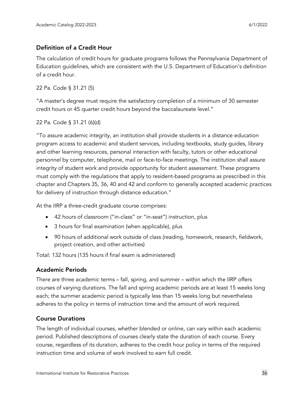#### Definition of a Credit Hour

The calculation of credit hours for graduate programs follows the Pennsylvania Department of Education guidelines, which are consistent with the U.S. Department of Education's definition of a credit hour.

22 Pa. Code § 31.21 (5)

"A master's degree must require the satisfactory completion of a minimum of 30 semester credit hours or 45 quarter credit hours beyond the baccalaureate level."

22 Pa. Code § 31.21 (6)(d)

"To assure academic integrity, an institution shall provide students in a distance education program access to academic and student services, including textbooks, study guides, library and other learning resources, personal interaction with faculty, tutors or other educational personnel by computer, telephone, mail or face-to-face meetings. The institution shall assure integrity of student work and provide opportunity for student assessment. These programs must comply with the regulations that apply to resident-based programs as prescribed in this chapter and Chapters 35, 36, 40 and 42 and conform to generally accepted academic practices for delivery of instruction through distance education."

At the IIRP a three-credit graduate course comprises:

- 42 hours of classroom ("in-class" or "in-seat") instruction, plus
- 3 hours for final examination (when applicable), plus
- 90 hours of additional work outside of class (reading, homework, research, fieldwork, project creation, and other activities)

Total: 132 hours (135 hours if final exam is administered)

#### Academic Periods

There are three academic terms – fall, spring, and summer – within which the IIRP offers courses of varying durations. The fall and spring academic periods are at least 15 weeks long each; the summer academic period is typically less than 15 weeks long but nevertheless adheres to the policy in terms of instruction time and the amount of work required.

#### Course Durations

The length of individual courses, whether blended or online, can vary within each academic period. Published descriptions of courses clearly state the duration of each course. Every course, regardless of its duration, adheres to the credit hour policy in terms of the required instruction time and volume of work involved to earn full credit.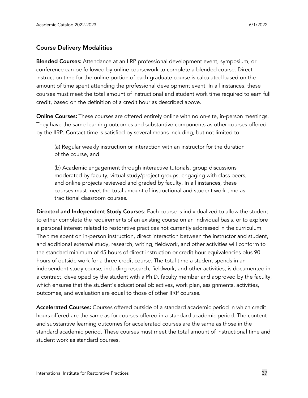#### Course Delivery Modalities

Blended Courses: Attendance at an IIRP professional development event, symposium, or conference can be followed by online coursework to complete a blended course. Direct instruction time for the online portion of each graduate course is calculated based on the amount of time spent attending the professional development event. In all instances, these courses must meet the total amount of instructional and student work time required to earn full credit, based on the definition of a credit hour as described above.

Online Courses: These courses are offered entirely online with no on-site, in-person meetings. They have the same learning outcomes and substantive components as other courses offered by the IIRP. Contact time is satisfied by several means including, but not limited to:

(a) Regular weekly instruction or interaction with an instructor for the duration of the course, and

(b) Academic engagement through interactive tutorials, group discussions moderated by faculty, virtual study/project groups, engaging with class peers, and online projects reviewed and graded by faculty. In all instances, these courses must meet the total amount of instructional and student work time as traditional classroom courses.

Directed and Independent Study Courses: Each course is individualized to allow the student to either complete the requirements of an existing course on an individual basis, or to explore a personal interest related to restorative practices not currently addressed in the curriculum. The time spent on in-person instruction, direct interaction between the instructor and student, and additional external study, research, writing, fieldwork, and other activities will conform to the standard minimum of 45 hours of direct instruction or credit hour equivalencies plus 90 hours of outside work for a three-credit course. The total time a student spends in an independent study course, including research, fieldwork, and other activities, is documented in a contract, developed by the student with a Ph.D. faculty member and approved by the faculty, which ensures that the student's educational objectives, work plan, assignments, activities, outcomes, and evaluation are equal to those of other IIRP courses.

Accelerated Courses: Courses offered outside of a standard academic period in which credit hours offered are the same as for courses offered in a standard academic period. The content and substantive learning outcomes for accelerated courses are the same as those in the standard academic period. These courses must meet the total amount of instructional time and student work as standard courses.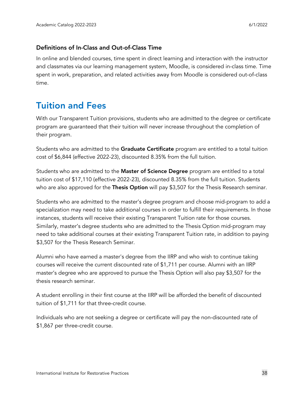#### Definitions of In-Class and Out-of-Class Time

In online and blended courses, time spent in direct learning and interaction with the instructor and classmates via our learning management system, Moodle, is considered in-class time. Time spent in work, preparation, and related activities away from Moodle is considered out-of-class time.

# <span id="page-37-0"></span>Tuition and Fees

With our Transparent Tuition provisions, students who are admitted to the degree or certificate program are guaranteed that their tuition will never increase throughout the completion of their program.

Students who are admitted to the Graduate Certificate program are entitled to a total tuition cost of \$6,844 (effective 2022-23), discounted 8.35% from the full tuition.

Students who are admitted to the Master of Science Degree program are entitled to a total tuition cost of \$17,110 (effective 2022-23), discounted 8.35% from the full tuition. Students who are also approved for the Thesis Option will pay \$3,507 for the Thesis Research seminar.

Students who are admitted to the master's degree program and choose mid-program to add a specialization may need to take additional courses in order to fulfill their requirements. In those instances, students will receive their existing Transparent Tuition rate for those courses. Similarly, master's degree students who are admitted to the Thesis Option mid-program may need to take additional courses at their existing Transparent Tuition rate, in addition to paying \$3,507 for the Thesis Research Seminar.

Alumni who have earned a master's degree from the IIRP and who wish to continue taking courses will receive the current discounted rate of \$1,711 per course. Alumni with an IIRP master's degree who are approved to pursue the Thesis Option will also pay \$3,507 for the thesis research seminar.

A student enrolling in their first course at the IIRP will be afforded the benefit of discounted tuition of \$1,711 for that three-credit course.

Individuals who are not seeking a degree or certificate will pay the non-discounted rate of \$1,867 per three-credit course.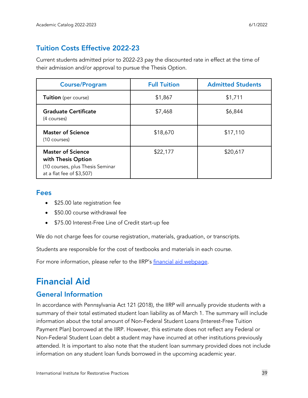# Tuition Costs Effective 2022-23

Current students admitted prior to 2022-23 pay the discounted rate in effect at the time of their admission and/or approval to pursue the Thesis Option.

| <b>Course/Program</b>                                                                                           | <b>Full Tuition</b> | <b>Admitted Students</b> |
|-----------------------------------------------------------------------------------------------------------------|---------------------|--------------------------|
| <b>Tuition</b> (per course)                                                                                     | \$1,867             | \$1,711                  |
| <b>Graduate Certificate</b><br>(4 courses)                                                                      | \$7,468             | \$6,844                  |
| <b>Master of Science</b><br>(10 courses)                                                                        | \$18,670            | \$17,110                 |
| <b>Master of Science</b><br>with Thesis Option<br>(10 courses, plus Thesis Seminar<br>at a flat fee of \$3,507) | \$22,177            | \$20,617                 |

#### Fees

- \$25.00 late registration fee
- \$50.00 course withdrawal fee
- \$75.00 Interest-Free Line of Credit start-up fee

We do not charge fees for course registration, materials, graduation, or transcripts.

Students are responsible for the cost of textbooks and materials in each course.

For more information, please refer to the IIRP's financial aid [webpage.](http://www.iirp.edu/registration-admissions/financial-aid)

# <span id="page-38-0"></span>Financial Aid

# <span id="page-38-1"></span>General Information

In accordance with Pennsylvania Act 121 (2018), the IIRP will annually provide students with a summary of their total estimated student loan liability as of March 1. The summary will include information about the total amount of Non-Federal Student Loans (Interest-Free Tuition Payment Plan) borrowed at the IIRP. However, this estimate does not reflect any Federal or Non-Federal Student Loan debt a student may have incurred at other institutions previously attended. It is important to also note that the student loan summary provided does not include information on any student loan funds borrowed in the upcoming academic year.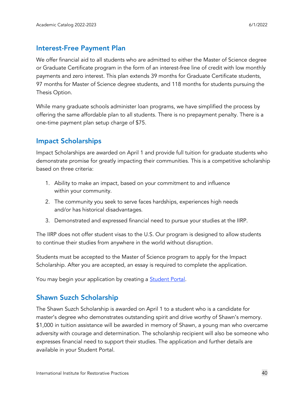## <span id="page-39-0"></span>Interest-Free Payment Plan

We offer financial aid to all students who are admitted to either the Master of Science degree or Graduate Certificate program in the form of an interest-free line of credit with low monthly payments and zero interest. This plan extends 39 months for Graduate Certificate students, 97 months for Master of Science degree students, and 118 months for students pursuing the Thesis Option.

While many graduate schools administer loan programs, we have simplified the process by offering the same affordable plan to all students. There is no prepayment penalty. There is a one-time payment plan setup charge of \$75.

# <span id="page-39-1"></span>Impact Scholarships

Impact Scholarships are awarded on April 1 and provide full tuition for graduate students who demonstrate promise for greatly impacting their communities. This is a competitive scholarship based on three criteria:

- 1. Ability to make an impact, based on your commitment to and influence within your community.
- 2. The community you seek to serve faces hardships, experiences high needs and/or has historical disadvantages.
- 3. Demonstrated and expressed financial need to pursue your studies at the IIRP.

The IIRP does not offer student visas to the U.S. Our program is designed to allow students to continue their studies from anywhere in the world without disruption.

Students must be accepted to the Master of Science program to apply for the Impact Scholarship. After you are accepted, an essay is required to complete the application.

You may begin your application by creating a **[Student](https://student.iirp.edu/) Portal**.

# <span id="page-39-2"></span>Shawn Suzch Scholarship

The Shawn Suzch Scholarship is awarded on April 1 to a student who is a candidate for master's degree who demonstrates outstanding spirit and drive worthy of Shawn's memory. \$1,000 in tuition assistance will be awarded in memory of Shawn, a young man who overcame adversity with courage and determination. The scholarship recipient will also be someone who expresses financial need to support their studies. The application and further details are available in your Student Portal.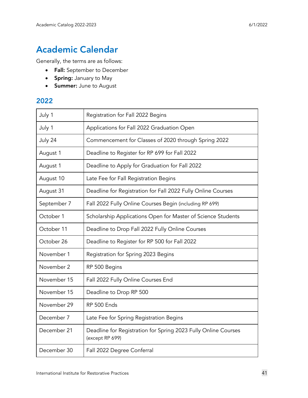# <span id="page-40-0"></span>Academic Calendar

Generally, the terms are as follows:

- Fall: September to December
- Spring: January to May
- Summer: June to August

## 2022

| July 1      | Registration for Fall 2022 Begins                                                 |
|-------------|-----------------------------------------------------------------------------------|
| July 1      | Applications for Fall 2022 Graduation Open                                        |
| July 24     | Commencement for Classes of 2020 through Spring 2022                              |
| August 1    | Deadline to Register for RP 699 for Fall 2022                                     |
| August 1    | Deadline to Apply for Graduation for Fall 2022                                    |
| August 10   | Late Fee for Fall Registration Begins                                             |
| August 31   | Deadline for Registration for Fall 2022 Fully Online Courses                      |
| September 7 | Fall 2022 Fully Online Courses Begin (including RP 699)                           |
| October 1   | Scholarship Applications Open for Master of Science Students                      |
| October 11  | Deadline to Drop Fall 2022 Fully Online Courses                                   |
| October 26  | Deadline to Register for RP 500 for Fall 2022                                     |
| November 1  | Registration for Spring 2023 Begins                                               |
| November 2  | RP 500 Begins                                                                     |
| November 15 | Fall 2022 Fully Online Courses End                                                |
| November 15 | Deadline to Drop RP 500                                                           |
| November 29 | RP 500 Ends                                                                       |
| December 7  | Late Fee for Spring Registration Begins                                           |
| December 21 | Deadline for Registration for Spring 2023 Fully Online Courses<br>(except RP 699) |
| December 30 | Fall 2022 Degree Conferral                                                        |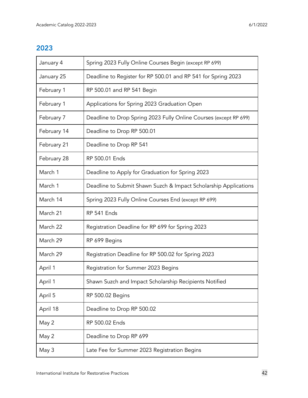# 2023

| January 4   | Spring 2023 Fully Online Courses Begin (except RP 699)            |
|-------------|-------------------------------------------------------------------|
| January 25  | Deadline to Register for RP 500.01 and RP 541 for Spring 2023     |
| February 1  | RP 500.01 and RP 541 Begin                                        |
| February 1  | Applications for Spring 2023 Graduation Open                      |
| February 7  | Deadline to Drop Spring 2023 Fully Online Courses (except RP 699) |
| February 14 | Deadline to Drop RP 500.01                                        |
| February 21 | Deadline to Drop RP 541                                           |
| February 28 | RP 500.01 Ends                                                    |
| March 1     | Deadline to Apply for Graduation for Spring 2023                  |
| March 1     | Deadline to Submit Shawn Suzch & Impact Scholarship Applications  |
| March 14    | Spring 2023 Fully Online Courses End (except RP 699)              |
| March 21    | RP 541 Ends                                                       |
| March 22    | Registration Deadline for RP 699 for Spring 2023                  |
| March 29    | RP 699 Begins                                                     |
| March 29    | Registration Deadline for RP 500.02 for Spring 2023               |
| April 1     | Registration for Summer 2023 Begins                               |
| April 1     | Shawn Suzch and Impact Scholarship Recipients Notified            |
| April 5     | <b>RP 500.02 Begins</b>                                           |
| April 18    | Deadline to Drop RP 500.02                                        |
| May 2       | RP 500.02 Ends                                                    |
| May 2       | Deadline to Drop RP 699                                           |
| May 3       | Late Fee for Summer 2023 Registration Begins                      |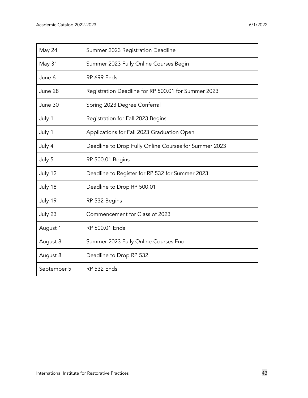| May 24      | Summer 2023 Registration Deadline                     |  |
|-------------|-------------------------------------------------------|--|
| May 31      | Summer 2023 Fully Online Courses Begin                |  |
| June 6      | RP 699 Ends                                           |  |
| June 28     | Registration Deadline for RP 500.01 for Summer 2023   |  |
| June 30     | Spring 2023 Degree Conferral                          |  |
| July 1      | Registration for Fall 2023 Begins                     |  |
| July 1      | Applications for Fall 2023 Graduation Open            |  |
| July 4      | Deadline to Drop Fully Online Courses for Summer 2023 |  |
| July 5      | RP 500.01 Begins                                      |  |
| July 12     | Deadline to Register for RP 532 for Summer 2023       |  |
| July 18     | Deadline to Drop RP 500.01                            |  |
| July 19     | RP 532 Begins                                         |  |
| July 23     | Commencement for Class of 2023                        |  |
| August 1    | RP 500.01 Ends                                        |  |
| August 8    | Summer 2023 Fully Online Courses End                  |  |
| August 8    | Deadline to Drop RP 532                               |  |
| September 5 | RP 532 Ends                                           |  |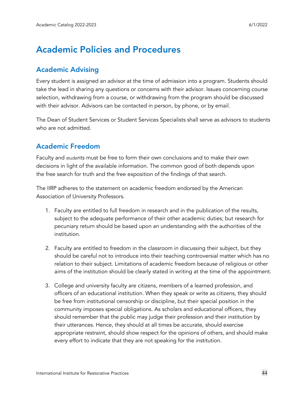# <span id="page-43-0"></span>Academic Policies and Procedures

# <span id="page-43-1"></span>Academic Advising

Every student is assigned an advisor at the time of admission into a program. Students should take the lead in sharing any questions or concerns with their advisor. Issues concerning course selection, withdrawing from a course, or withdrawing from the program should be discussed with their advisor. Advisors can be contacted in person, by phone, or by email.

The Dean of Student Services or Student Services Specialists shall serve as advisors to students who are not admitted.

# <span id="page-43-2"></span>Academic Freedom

Faculty and students must be free to form their own conclusions and to make their own decisions in light of the available information. The common good of both depends upon the free search for truth and the free exposition of the findings of that search.

The IIRP adheres to the statement on academic freedom endorsed by the American Association of University Professors.

- 1. Faculty are entitled to full freedom in research and in the publication of the results, subject to the adequate performance of their other academic duties; but research for pecuniary return should be based upon an understanding with the authorities of the institution.
- 2. Faculty are entitled to freedom in the classroom in discussing their subject, but they should be careful not to introduce into their teaching controversial matter which has no relation to their subject. Limitations of academic freedom because of religious or other aims of the institution should be clearly stated in writing at the time of the appointment.
- 3. College and university faculty are citizens, members of a learned profession, and officers of an educational institution. When they speak or write as citizens, they should be free from institutional censorship or discipline, but their special position in the community imposes special obligations. As scholars and educational officers, they should remember that the public may judge their profession and their institution by their utterances. Hence, they should at all times be accurate, should exercise appropriate restraint, should show respect for the opinions of others, and should make every effort to indicate that they are not speaking for the institution.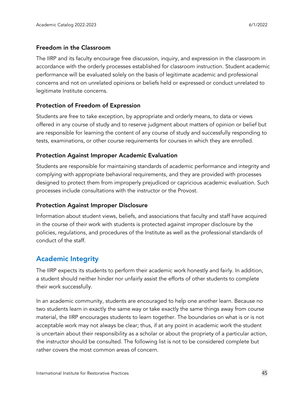#### Freedom in the Classroom

The IIRP and its faculty encourage free discussion, inquiry, and expression in the classroom in accordance with the orderly processes established for classroom instruction. Student academic performance will be evaluated solely on the basis of legitimate academic and professional concerns and not on unrelated opinions or beliefs held or expressed or conduct unrelated to legitimate Institute concerns.

#### Protection of Freedom of Expression

Students are free to take exception, by appropriate and orderly means, to data or views offered in any course of study and to reserve judgment about matters of opinion or belief but are responsible for learning the content of any course of study and successfully responding to tests, examinations, or other course requirements for courses in which they are enrolled.

#### Protection Against Improper Academic Evaluation

Students are responsible for maintaining standards of academic performance and integrity and complying with appropriate behavioral requirements, and they are provided with processes designed to protect them from improperly prejudiced or capricious academic evaluation. Such processes include consultations with the instructor or the Provost.

#### Protection Against Improper Disclosure

Information about student views, beliefs, and associations that faculty and staff have acquired in the course of their work with students is protected against improper disclosure by the policies, regulations, and procedures of the Institute as well as the professional standards of conduct of the staff.

# <span id="page-44-0"></span>Academic Integrity

The IIRP expects its students to perform their academic work honestly and fairly. In addition, a student should neither hinder nor unfairly assist the efforts of other students to complete their work successfully.

In an academic community, students are encouraged to help one another learn. Because no two students learn in exactly the same way or take exactly the same things away from course material, the IIRP encourages students to learn together. The boundaries on what is or is not acceptable work may not always be clear; thus, if at any point in academic work the student is uncertain about their responsibility as a scholar or about the propriety of a particular action, the instructor should be consulted. The following list is not to be considered complete but rather covers the most common areas of concern.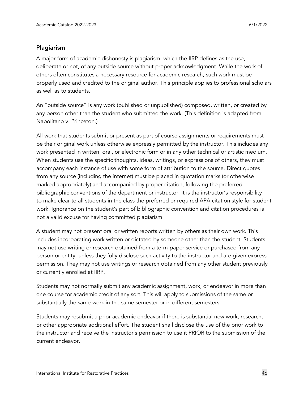#### Plagiarism

A major form of academic dishonesty is plagiarism, which the IIRP defines as the use, deliberate or not, of any outside source without proper acknowledgment. While the work of others often constitutes a necessary resource for academic research, such work must be properly used and credited to the original author. This principle applies to professional scholars as well as to students.

An "outside source" is any work (published or unpublished) composed, written, or created by any person other than the student who submitted the work. (This definition is adapted from Napolitano v. Princeton.)

All work that students submit or present as part of course assignments or requirements must be their original work unless otherwise expressly permitted by the instructor. This includes any work presented in written, oral, or electronic form or in any other technical or artistic medium. When students use the specific thoughts, ideas, writings, or expressions of others, they must accompany each instance of use with some form of attribution to the source. Direct quotes from any source (including the internet) must be placed in quotation marks (or otherwise marked appropriately) and accompanied by proper citation, following the preferred bibliographic conventions of the department or instructor. It is the instructor's responsibility to make clear to all students in the class the preferred or required APA citation style for student work. Ignorance on the student's part of bibliographic convention and citation procedures is not a valid excuse for having committed plagiarism.

A student may not present oral or written reports written by others as their own work. This includes incorporating work written or dictated by someone other than the student. Students may not use writing or research obtained from a term-paper service or purchased from any person or entity, unless they fully disclose such activity to the instructor and are given express permission. They may not use writings or research obtained from any other student previously or currently enrolled at IIRP.

Students may not normally submit any academic assignment, work, or endeavor in more than one course for academic credit of any sort. This will apply to submissions of the same or substantially the same work in the same semester or in different semesters.

Students may resubmit a prior academic endeavor if there is substantial new work, research, or other appropriate additional effort. The student shall disclose the use of the prior work to the instructor and receive the instructor's permission to use it PRIOR to the submission of the current endeavor.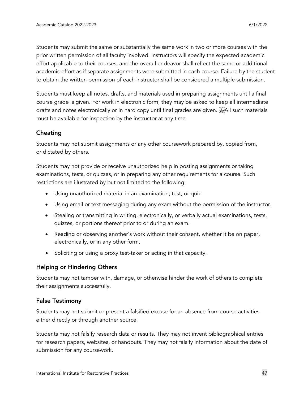Students may submit the same or substantially the same work in two or more courses with the prior written permission of all faculty involved. Instructors will specify the expected academic effort applicable to their courses, and the overall endeavor shall reflect the same or additional academic effort as if separate assignments were submitted in each course. Failure by the student to obtain the written permission of each instructor shall be considered a multiple submission.

Students must keep all notes, drafts, and materials used in preparing assignments until a final course grade is given. For work in electronic form, they may be asked to keep all intermediate drafts and notes electronically or in hard copy until final grades are given. **EXALL** such materials must be available for inspection by the instructor at any time.

#### Cheating

Students may not submit assignments or any other coursework prepared by, copied from, or dictated by others.

Students may not provide or receive unauthorized help in posting assignments or taking examinations, tests, or quizzes, or in preparing any other requirements for a course. Such restrictions are illustrated by but not limited to the following:

- Using unauthorized material in an examination, test, or quiz.
- Using email or text messaging during any exam without the permission of the instructor.
- Stealing or transmitting in writing, electronically, or verbally actual examinations, tests, quizzes, or portions thereof prior to or during an exam.
- Reading or observing another's work without their consent, whether it be on paper, electronically, or in any other form.
- Soliciting or using a proxy test-taker or acting in that capacity.

#### Helping or Hindering Others

Students may not tamper with, damage, or otherwise hinder the work of others to complete their assignments successfully.

#### False Testimony

Students may not submit or present a falsified excuse for an absence from course activities either directly or through another source.

Students may not falsify research data or results. They may not invent bibliographical entries for research papers, websites, or handouts. They may not falsify information about the date of submission for any coursework.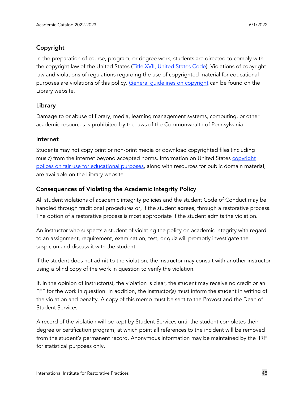## Copyright

In the preparation of course, program, or degree work, students are directed to comply with the copyright law of the United States (Title XVII, [United](https://www.copyright.gov/title17/) States Code). Violations of copyright law and violations of regulations regarding the use of copyrighted material for educational purposes are violations of this policy. General quidelines on copyright can be found on the Library website.

#### Library

Damage to or abuse of library, media, learning management systems, computing, or other academic resources is prohibited by the laws of the Commonwealth of Pennsylvania.

#### Internet

Students may not copy print or non-print media or download copyrighted files (including music) from the internet beyond accepted norms. Information on United States [copyright](https://www.iirp.edu/library/citing-sources-working-with-information#copyright) polices on fair use for [educational](https://www.iirp.edu/library/citing-sources-working-with-information#copyright) purposes, along with resources for public domain material, are available on the Library website.

#### Consequences of Violating the Academic Integrity Policy

All student violations of academic integrity policies and the student Code of Conduct may be handled through traditional procedures or, if the student agrees, through a restorative process. The option of a restorative process is most appropriate if the student admits the violation.

An instructor who suspects a student of violating the policy on academic integrity with regard to an assignment, requirement, examination, test, or quiz will promptly investigate the suspicion and discuss it with the student.

If the student does not admit to the violation, the instructor may consult with another instructor using a blind copy of the work in question to verify the violation.

If, in the opinion of instructor(s), the violation is clear, the student may receive no credit or an "F" for the work in question. In addition, the instructor(s) must inform the student in writing of the violation and penalty. A copy of this memo must be sent to the Provost and the Dean of Student Services.

A record of the violation will be kept by Student Services until the student completes their degree or certification program, at which point all references to the incident will be removed from the student's permanent record. Anonymous information may be maintained by the IIRP for statistical purposes only.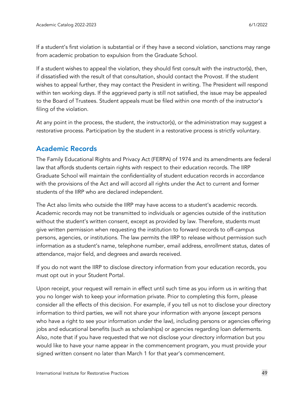If a student's first violation is substantial or if they have a second violation, sanctions may range from academic probation to expulsion from the Graduate School.

If a student wishes to appeal the violation, they should first consult with the instructor(s), then, if dissatisfied with the result of that consultation, should contact the Provost. If the student wishes to appeal further, they may contact the President in writing. The President will respond within ten working days. If the aggrieved party is still not satisfied, the issue may be appealed to the Board of Trustees. Student appeals must be filed within one month of the instructor's filing of the violation.

At any point in the process, the student, the instructor(s), or the administration may suggest a restorative process. Participation by the student in a restorative process is strictly voluntary.

# <span id="page-48-0"></span>Academic Records

The Family Educational Rights and Privacy Act (FERPA) of 1974 and its amendments are federal law that affords students certain rights with respect to their education records. The IIRP Graduate School will maintain the confidentiality of student education records in accordance with the provisions of the Act and will accord all rights under the Act to current and former students of the IIRP who are declared independent.

The Act also limits who outside the IIRP may have access to a student's academic records. Academic records may not be transmitted to individuals or agencies outside of the institution without the student's written consent, except as provided by law. Therefore, students must give written permission when requesting the institution to forward records to off-campus persons, agencies, or institutions. The law permits the IIRP to release without permission such information as a student's name, telephone number, email address, enrollment status, dates of attendance, major field, and degrees and awards received.

If you do not want the IIRP to disclose directory information from your education records, you must opt out in your Student Portal.

Upon receipt, your request will remain in effect until such time as you inform us in writing that you no longer wish to keep your information private. Prior to completing this form, please consider all the effects of this decision. For example, if you tell us not to disclose your directory information to third parties, we will not share your information with anyone (except persons who have a right to see your information under the law), including persons or agencies offering jobs and educational benefits (such as scholarships) or agencies regarding loan deferments. Also, note that if you have requested that we not disclose your directory information but you would like to have your name appear in the commencement program, you must provide your signed written consent no later than March 1 for that year's commencement.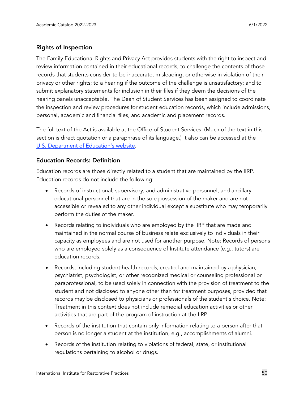#### Rights of Inspection

The Family Educational Rights and Privacy Act provides students with the right to inspect and review information contained in their educational records; to challenge the contents of those records that students consider to be inaccurate, misleading, or otherwise in violation of their privacy or other rights; to a hearing if the outcome of the challenge is unsatisfactory; and to submit explanatory statements for inclusion in their files if they deem the decisions of the hearing panels unacceptable. The Dean of Student Services has been assigned to coordinate the inspection and review procedures for student education records, which include admissions, personal, academic and financial files, and academic and placement records.

The full text of the Act is available at the Office of Student Services. (Much of the text in this section is direct quotation or a paraphrase of its language.) It also can be accessed at the U.S. [Department](https://www2.ed.gov/policy/gen/guid/fpco/ferpa/index.html) of Education's website.

#### Education Records: Definition

Education records are those directly related to a student that are maintained by the IIRP. Education records do not include the following:

- Records of instructional, supervisory, and administrative personnel, and ancillary educational personnel that are in the sole possession of the maker and are not accessible or revealed to any other individual except a substitute who may temporarily perform the duties of the maker.
- Records relating to individuals who are employed by the IIRP that are made and maintained in the normal course of business relate exclusively to individuals in their capacity as employees and are not used for another purpose. Note: Records of persons who are employed solely as a consequence of Institute attendance (e.g., tutors) are education records.
- Records, including student health records, created and maintained by a physician, psychiatrist, psychologist, or other recognized medical or counseling professional or paraprofessional, to be used solely in connection with the provision of treatment to the student and not disclosed to anyone other than for treatment purposes, provided that records may be disclosed to physicians or professionals of the student's choice. Note: Treatment in this context does not include remedial education activities or other activities that are part of the program of instruction at the IIRP.
- Records of the institution that contain only information relating to a person after that person is no longer a student at the institution, e.g., accomplishments of alumni.
- Records of the institution relating to violations of federal, state, or institutional regulations pertaining to alcohol or drugs.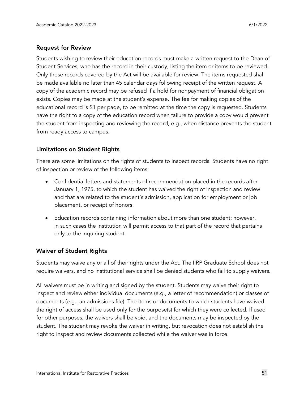#### Request for Review

Students wishing to review their education records must make a written request to the Dean of Student Services, who has the record in their custody, listing the item or items to be reviewed. Only those records covered by the Act will be available for review. The items requested shall be made available no later than 45 calendar days following receipt of the written request. A copy of the academic record may be refused if a hold for nonpayment of financial obligation exists. Copies may be made at the student's expense. The fee for making copies of the educational record is \$1 per page, to be remitted at the time the copy is requested. Students have the right to a copy of the education record when failure to provide a copy would prevent the student from inspecting and reviewing the record, e.g., when distance prevents the student from ready access to campus.

#### Limitations on Student Rights

There are some limitations on the rights of students to inspect records. Students have no right of inspection or review of the following items:

- Confidential letters and statements of recommendation placed in the records after January 1, 1975, to which the student has waived the right of inspection and review and that are related to the student's admission, application for employment or job placement, or receipt of honors.
- Education records containing information about more than one student; however, in such cases the institution will permit access to that part of the record that pertains only to the inquiring student.

#### Waiver of Student Rights

Students may waive any or all of their rights under the Act. The IIRP Graduate School does not require waivers, and no institutional service shall be denied students who fail to supply waivers.

All waivers must be in writing and signed by the student. Students may waive their right to inspect and review either individual documents (e.g., a letter of recommendation) or classes of documents (e.g., an admissions file). The items or documents to which students have waived the right of access shall be used only for the purpose(s) for which they were collected. If used for other purposes, the waivers shall be void, and the documents may be inspected by the student. The student may revoke the waiver in writing, but revocation does not establish the right to inspect and review documents collected while the waiver was in force.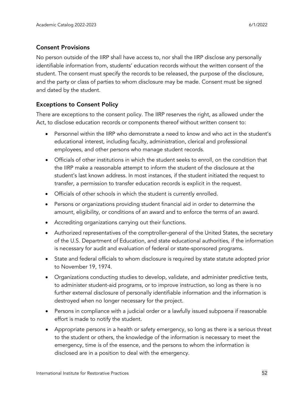#### Consent Provisions

No person outside of the IIRP shall have access to, nor shall the IIRP disclose any personally identifiable information from, students' education records without the written consent of the student. The consent must specify the records to be released, the purpose of the disclosure, and the party or class of parties to whom disclosure may be made. Consent must be signed and dated by the student.

#### Exceptions to Consent Policy

There are exceptions to the consent policy. The IIRP reserves the right, as allowed under the Act, to disclose education records or components thereof without written consent to:

- Personnel within the IIRP who demonstrate a need to know and who act in the student's educational interest, including faculty, administration, clerical and professional employees, and other persons who manage student records.
- Officials of other institutions in which the student seeks to enroll, on the condition that the IIRP make a reasonable attempt to inform the student of the disclosure at the student's last known address. In most instances, if the student initiated the request to transfer, a permission to transfer education records is explicit in the request.
- Officials of other schools in which the student is currently enrolled.
- Persons or organizations providing student financial aid in order to determine the amount, eligibility, or conditions of an award and to enforce the terms of an award.
- Accrediting organizations carrying out their functions.
- Authorized representatives of the comptroller-general of the United States, the secretary of the U.S. Department of Education, and state educational authorities, if the information is necessary for audit and evaluation of federal or state-sponsored programs.
- State and federal officials to whom disclosure is required by state statute adopted prior to November 19, 1974.
- Organizations conducting studies to develop, validate, and administer predictive tests, to administer student-aid programs, or to improve instruction, so long as there is no further external disclosure of personally identifiable information and the information is destroyed when no longer necessary for the project.
- Persons in compliance with a judicial order or a lawfully issued subpoena if reasonable effort is made to notify the student.
- Appropriate persons in a health or safety emergency, so long as there is a serious threat to the student or others, the knowledge of the information is necessary to meet the emergency, time is of the essence, and the persons to whom the information is disclosed are in a position to deal with the emergency.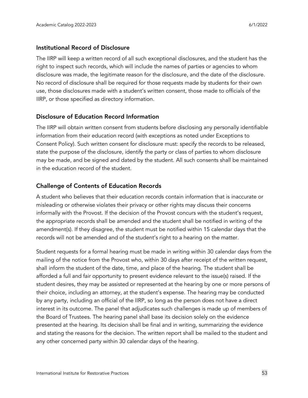#### Institutional Record of Disclosure

The IIRP will keep a written record of all such exceptional disclosures, and the student has the right to inspect such records, which will include the names of parties or agencies to whom disclosure was made, the legitimate reason for the disclosure, and the date of the disclosure. No record of disclosure shall be required for those requests made by students for their own use, those disclosures made with a student's written consent, those made to officials of the IIRP, or those specified as directory information.

#### Disclosure of Education Record Information

The IIRP will obtain written consent from students before disclosing any personally identifiable information from their education record (with exceptions as noted under Exceptions to Consent Policy). Such written consent for disclosure must: specify the records to be released, state the purpose of the disclosure, identify the party or class of parties to whom disclosure may be made, and be signed and dated by the student. All such consents shall be maintained in the education record of the student.

#### Challenge of Contents of Education Records

A student who believes that their education records contain information that is inaccurate or misleading or otherwise violates their privacy or other rights may discuss their concerns informally with the Provost. If the decision of the Provost concurs with the student's request, the appropriate records shall be amended and the student shall be notified in writing of the amendment(s). If they disagree, the student must be notified within 15 calendar days that the records will not be amended and of the student's right to a hearing on the matter.

Student requests for a formal hearing must be made in writing within 30 calendar days from the mailing of the notice from the Provost who, within 30 days after receipt of the written request, shall inform the student of the date, time, and place of the hearing. The student shall be afforded a full and fair opportunity to present evidence relevant to the issue(s) raised. If the student desires, they may be assisted or represented at the hearing by one or more persons of their choice, including an attorney, at the student's expense. The hearing may be conducted by any party, including an official of the IIRP, so long as the person does not have a direct interest in its outcome. The panel that adjudicates such challenges is made up of members of the Board of Trustees. The hearing panel shall base its decision solely on the evidence presented at the hearing. Its decision shall be final and in writing, summarizing the evidence and stating the reasons for the decision. The written report shall be mailed to the student and any other concerned party within 30 calendar days of the hearing.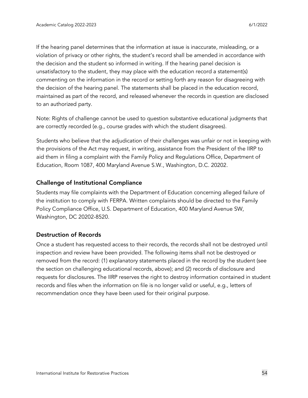If the hearing panel determines that the information at issue is inaccurate, misleading, or a violation of privacy or other rights, the student's record shall be amended in accordance with the decision and the student so informed in writing. If the hearing panel decision is unsatisfactory to the student, they may place with the education record a statement(s) commenting on the information in the record or setting forth any reason for disagreeing with the decision of the hearing panel. The statements shall be placed in the education record, maintained as part of the record, and released whenever the records in question are disclosed to an authorized party.

Note: Rights of challenge cannot be used to question substantive educational judgments that are correctly recorded (e.g., course grades with which the student disagrees).

Students who believe that the adjudication of their challenges was unfair or not in keeping with the provisions of the Act may request, in writing, assistance from the President of the IIRP to aid them in filing a complaint with the Family Policy and Regulations Office, Department of Education, Room 1087, 400 Maryland Avenue S.W., Washington, D.C. 20202.

#### Challenge of Institutional Compliance

Students may file complaints with the Department of Education concerning alleged failure of the institution to comply with FERPA. Written complaints should be directed to the Family Policy Compliance Office, U.S. Department of Education, 400 Maryland Avenue SW, Washington, DC 20202-8520.

#### Destruction of Records

Once a student has requested access to their records, the records shall not be destroyed until inspection and review have been provided. The following items shall not be destroyed or removed from the record: (1) explanatory statements placed in the record by the student (see the section on challenging educational records, above); and (2) records of disclosure and requests for disclosures. The IIRP reserves the right to destroy information contained in student records and files when the information on file is no longer valid or useful, e.g., letters of recommendation once they have been used for their original purpose.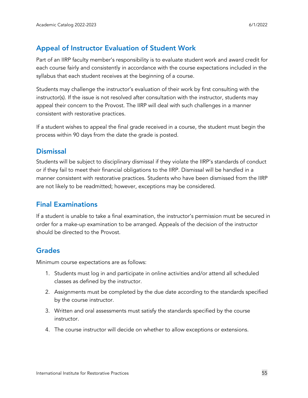# <span id="page-54-0"></span>Appeal of Instructor Evaluation of Student Work

Part of an IIRP faculty member's responsibility is to evaluate student work and award credit for each course fairly and consistently in accordance with the course expectations included in the syllabus that each student receives at the beginning of a course.

Students may challenge the instructor's evaluation of their work by first consulting with the instructor(s). If the issue is not resolved after consultation with the instructor, students may appeal their concern to the Provost. The IIRP will deal with such challenges in a manner consistent with restorative practices.

If a student wishes to appeal the final grade received in a course, the student must begin the process within 90 days from the date the grade is posted.

## <span id="page-54-1"></span>**Dismissal**

Students will be subject to disciplinary dismissal if they violate the IIRP's standards of conduct or if they fail to meet their financial obligations to the IIRP. Dismissal will be handled in a manner consistent with restorative practices. Students who have been dismissed from the IIRP are not likely to be readmitted; however, exceptions may be considered.

# <span id="page-54-2"></span>Final Examinations

If a student is unable to take a final examination, the instructor's permission must be secured in order for a make-up examination to be arranged. Appeals of the decision of the instructor should be directed to the Provost.

# <span id="page-54-3"></span>Grades

Minimum course expectations are as follows:

- 1. Students must log in and participate in online activities and/or attend all scheduled classes as defined by the instructor.
- 2. Assignments must be completed by the due date according to the standards specified by the course instructor.
- 3. Written and oral assessments must satisfy the standards specified by the course instructor.
- 4. The course instructor will decide on whether to allow exceptions or extensions.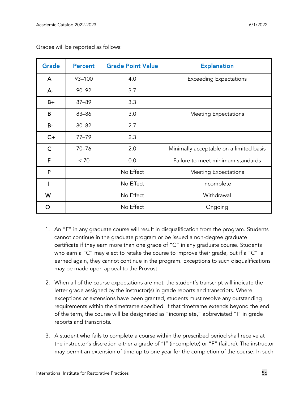| <b>Grade</b> | <b>Percent</b> | <b>Grade Point Value</b> | <b>Explanation</b>                      |
|--------------|----------------|--------------------------|-----------------------------------------|
| A            | 93-100         | 4.0                      | <b>Exceeding Expectations</b>           |
| $A -$        | $90 - 92$      | 3.7                      |                                         |
| $B+$         | 87-89          | 3.3                      |                                         |
| B            | 83-86          | 3.0                      | <b>Meeting Expectations</b>             |
| <b>B-</b>    | $80 - 82$      | 2.7                      |                                         |
| $C+$         | $77 - 79$      | 2.3                      |                                         |
| $\mathsf{C}$ | $70 - 76$      | 2.0                      | Minimally acceptable on a limited basis |
| F            | < 70           | 0.0                      | Failure to meet minimum standards       |
| P            |                | No Effect                | <b>Meeting Expectations</b>             |
|              |                | No Effect                | Incomplete                              |
| W            |                | No Effect                | Withdrawal                              |
| ∩            |                | No Effect                | Ongoing                                 |

Grades will be reported as follows:

- 1. An "F" in any graduate course will result in disqualification from the program. Students cannot continue in the graduate program or be issued a non-degree graduate certificate if they earn more than one grade of "C" in any graduate course. Students who earn a "C" may elect to retake the course to improve their grade, but if a "C" is earned again, they cannot continue in the program. Exceptions to such disqualifications may be made upon appeal to the Provost.
- 2. When all of the course expectations are met, the student's transcript will indicate the letter grade assigned by the instructor(s) in grade reports and transcripts. Where exceptions or extensions have been granted, students must resolve any outstanding requirements within the timeframe specified. If that timeframe extends beyond the end of the term, the course will be designated as "incomplete," abbreviated "I" in grade reports and transcripts.
- 3. A student who fails to complete a course within the prescribed period shall receive at the instructor's discretion either a grade of "I" (incomplete) or "F" (failure). The instructor may permit an extension of time up to one year for the completion of the course. In such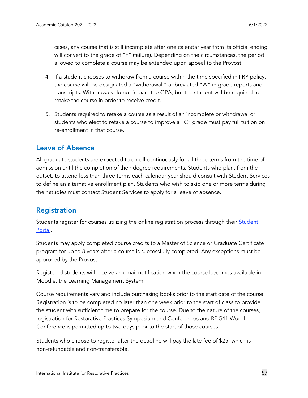cases, any course that is still incomplete after one calendar year from its official ending will convert to the grade of "F" (failure). Depending on the circumstances, the period allowed to complete a course may be extended upon appeal to the Provost.

- 4. If a student chooses to withdraw from a course within the time specified in IIRP policy, the course will be designated a "withdrawal," abbreviated "W" in grade reports and transcripts. Withdrawals do not impact the GPA, but the student will be required to retake the course in order to receive credit.
- 5. Students required to retake a course as a result of an incomplete or withdrawal or students who elect to retake a course to improve a "C" grade must pay full tuition on re-enrollment in that course.

# <span id="page-56-0"></span>Leave of Absence

All graduate students are expected to enroll continuously for all three terms from the time of admission until the completion of their degree requirements. Students who plan, from the outset, to attend less than three terms each calendar year should consult with Student Services to define an alternative enrollment plan. Students who wish to skip one or more terms during their studies must contact Student Services to apply for a leave of absence.

# <span id="page-56-1"></span>Registration

[Student](https://student.iirp.edu/)s register for courses utilizing the online registration process through their **Student** [Portal.](https://student.iirp.edu/)

Students may apply completed course credits to a Master of Science or Graduate Certificate program for up to 8 years after a course is successfully completed. Any exceptions must be approved by the Provost.

Registered students will receive an email notification when the course becomes available in Moodle, the Learning Management System.

Course requirements vary and include purchasing books prior to the start date of the course. Registration is to be completed no later than one week prior to the start of class to provide the student with sufficient time to prepare for the course. Due to the nature of the courses, registration for Restorative Practices Symposium and Conferences and RP 541 World Conference is permitted up to two days prior to the start of those courses.

Students who choose to register after the deadline will pay the late fee of \$25, which is non-refundable and non-transferable.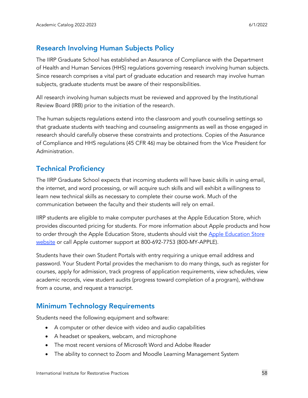# <span id="page-57-0"></span>Research Involving Human Subjects Policy

The IIRP Graduate School has established an Assurance of Compliance with the Department of Health and Human Services (HHS) regulations governing research involving human subjects. Since research comprises a vital part of graduate education and research may involve human subjects, graduate students must be aware of their responsibilities.

All research involving human subjects must be reviewed and approved by the Institutional Review Board (IRB) prior to the initiation of the research.

The human subjects regulations extend into the classroom and youth counseling settings so that graduate students with teaching and counseling assignments as well as those engaged in research should carefully observe these constraints and protections. Copies of the Assurance of Compliance and HHS regulations (45 CFR 46) may be obtained from the Vice President for Administration.

# <span id="page-57-1"></span>Technical Proficiency

The IIRP Graduate School expects that incoming students will have basic skills in using email, the internet, and word processing, or will acquire such skills and will exhibit a willingness to learn new technical skills as necessary to complete their course work. Much of the communication between the faculty and their students will rely on email.

IIRP students are eligible to make computer purchases at the Apple Education Store, which provides discounted pricing for students. For more information about Apple products and how to order through the Apple [Education](http://www.apple.com/education) Store, students should visit the Apple Education Store [website](http://www.apple.com/education) or call Apple customer support at 800-692-7753 (800-MY-APPLE).

Students have their own Student Portals with entry requiring a unique email address and password. Your Student Portal provides the mechanism to do many things, such as register for courses, apply for admission, track progress of application requirements, view schedules, view academic records, view student audits (progress toward completion of a program), withdraw from a course, and request a transcript.

# <span id="page-57-2"></span>Minimum Technology Requirements

Students need the following equipment and software:

- A computer or other device with video and audio capabilities
- A headset or speakers, webcam, and microphone
- The most recent versions of Microsoft Word and Adobe Reader
- The ability to connect to Zoom and Moodle Learning Management System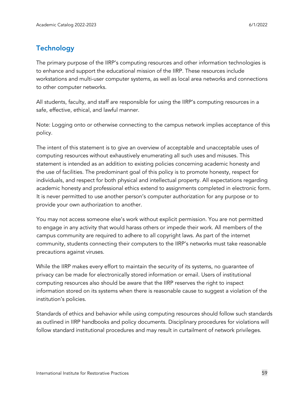# <span id="page-58-0"></span>**Technology**

The primary purpose of the IIRP's computing resources and other information technologies is to enhance and support the educational mission of the IIRP. These resources include workstations and multi-user computer systems, as well as local area networks and connections to other computer networks.

All students, faculty, and staff are responsible for using the IIRP's computing resources in a safe, effective, ethical, and lawful manner.

Note: Logging onto or otherwise connecting to the campus network implies acceptance of this policy.

The intent of this statement is to give an overview of acceptable and unacceptable uses of computing resources without exhaustively enumerating all such uses and misuses. This statement is intended as an addition to existing policies concerning academic honesty and the use of facilities. The predominant goal of this policy is to promote honesty, respect for individuals, and respect for both physical and intellectual property. All expectations regarding academic honesty and professional ethics extend to assignments completed in electronic form. It is never permitted to use another person's computer authorization for any purpose or to provide your own authorization to another.

You may not access someone else's work without explicit permission. You are not permitted to engage in any activity that would harass others or impede their work. All members of the campus community are required to adhere to all copyright laws. As part of the internet community, students connecting their computers to the IIRP's networks must take reasonable precautions against viruses.

While the IIRP makes every effort to maintain the security of its systems, no guarantee of privacy can be made for electronically stored information or email. Users of institutional computing resources also should be aware that the IIRP reserves the right to inspect information stored on its systems when there is reasonable cause to suggest a violation of the institution's policies.

Standards of ethics and behavior while using computing resources should follow such standards as outlined in IIRP handbooks and policy documents. Disciplinary procedures for violations will follow standard institutional procedures and may result in curtailment of network privileges.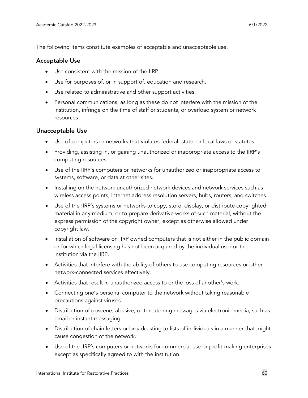The following items constitute examples of acceptable and unacceptable use.

#### Acceptable Use

- Use consistent with the mission of the IIRP.
- Use for purposes of, or in support of, education and research.
- Use related to administrative and other support activities.
- Personal communications, as long as these do not interfere with the mission of the institution, infringe on the time of staff or students, or overload system or network resources.

#### Unacceptable Use

- Use of computers or networks that violates federal, state, or local laws or statutes.
- Providing, assisting in, or gaining unauthorized or inappropriate access to the IIRP's computing resources.
- Use of the IIRP's computers or networks for unauthorized or inappropriate access to systems, software, or data at other sites.
- Installing on the network unauthorized network devices and network services such as wireless access points, internet address resolution servers, hubs, routers, and switches.
- Use of the IIRP's systems or networks to copy, store, display, or distribute copyrighted material in any medium, or to prepare derivative works of such material, without the express permission of the copyright owner, except as otherwise allowed under copyright law.
- Installation of software on IIRP owned computers that is not either in the public domain or for which legal licensing has not been acquired by the individual user or the institution via the IIRP.
- Activities that interfere with the ability of others to use computing resources or other network-connected services effectively.
- Activities that result in unauthorized access to or the loss of another's work.
- Connecting one's personal computer to the network without taking reasonable precautions against viruses.
- Distribution of obscene, abusive, or threatening messages via electronic media, such as email or instant messaging.
- Distribution of chain letters or broadcasting to lists of individuals in a manner that might cause congestion of the network.
- Use of the IIRP's computers or networks for commercial use or profit-making enterprises except as specifically agreed to with the institution.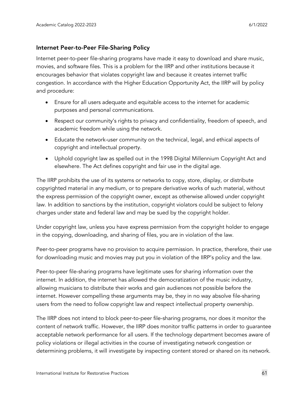#### Internet Peer-to-Peer File-Sharing Policy

Internet peer-to-peer file-sharing programs have made it easy to download and share music, movies, and software files. This is a problem for the IIRP and other institutions because it encourages behavior that violates copyright law and because it creates internet traffic congestion. In accordance with the Higher Education Opportunity Act, the IIRP will by policy and procedure:

- Ensure for all users adequate and equitable access to the internet for academic purposes and personal communications.
- Respect our community's rights to privacy and confidentiality, freedom of speech, and academic freedom while using the network.
- Educate the network-user community on the technical, legal, and ethical aspects of copyright and intellectual property.
- Uphold copyright law as spelled out in the 1998 Digital Millennium Copyright Act and elsewhere. The Act defines copyright and fair use in the digital age.

The IIRP prohibits the use of its systems or networks to copy, store, display, or distribute copyrighted material in any medium, or to prepare derivative works of such material, without the express permission of the copyright owner, except as otherwise allowed under copyright law. In addition to sanctions by the institution, copyright violators could be subject to felony charges under state and federal law and may be sued by the copyright holder.

Under copyright law, unless you have express permission from the copyright holder to engage in the copying, downloading, and sharing of files, you are in violation of the law.

Peer-to-peer programs have no provision to acquire permission. In practice, therefore, their use for downloading music and movies may put you in violation of the IIRP's policy and the law.

Peer-to-peer file-sharing programs have legitimate uses for sharing information over the internet. In addition, the internet has allowed the democratization of the music industry, allowing musicians to distribute their works and gain audiences not possible before the internet. However compelling these arguments may be, they in no way absolve file-sharing users from the need to follow copyright law and respect intellectual property ownership.

The IIRP does not intend to block peer-to-peer file-sharing programs, nor does it monitor the content of network traffic. However, the IIRP does monitor traffic patterns in order to guarantee acceptable network performance for all users. If the technology department becomes aware of policy violations or illegal activities in the course of investigating network congestion or determining problems, it will investigate by inspecting content stored or shared on its network.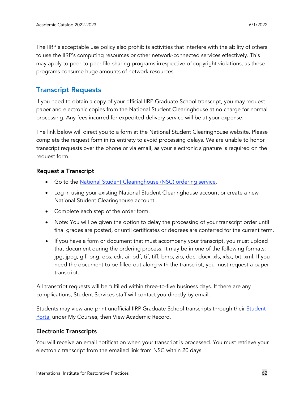The IIRP's acceptable use policy also prohibits activities that interfere with the ability of others to use the IIRP's computing resources or other network-connected services effectively. This may apply to peer-to-peer file-sharing programs irrespective of copyright violations, as these programs consume huge amounts of network resources.

## <span id="page-61-0"></span>Transcript Requests

If you need to obtain a copy of your official IIRP Graduate School transcript, you may request paper and electronic copies from the National Student Clearinghouse at no charge for normal processing. Any fees incurred for expedited delivery service will be at your expense.

The link below will direct you to a form at the National Student Clearinghouse website. Please complete the request form in its entirety to avoid processing delays. We are unable to honor transcript requests over the phone or via email, as your electronic signature is required on the request form.

#### Request a Transcript

- Go to the National Student [Clearinghouse](https://tsorder.studentclearinghouse.org/school/select) (NSC) ordering service.
- Log in using your existing National Student Clearinghouse account or create a new National Student Clearinghouse account.
- Complete each step of the order form.
- Note: You will be given the option to delay the processing of your transcript order until final grades are posted, or until certificates or degrees are conferred for the current term.
- If you have a form or document that must accompany your transcript, you must upload that document during the ordering process. It may be in one of the following formats: jpg, jpeg, gif, png, eps, cdr, ai, pdf, tif, tiff, bmp, zip, doc, docx, xls, xlsx, txt, xml. If you need the document to be filled out along with the transcript, you must request a paper transcript.

All transcript requests will be fulfilled within three-to-five business days. If there are any complications, Student Services staff will contact you directly by email.

[Student](https://student.iirp.edu/)s may view and print unofficial IIRP Graduate School transcripts through their **Student [Portal](https://student.iirp.edu/) under My Courses, then View Academic Record.** 

#### Electronic Transcripts

You will receive an email notification when your transcript is processed. You must retrieve your electronic transcript from the emailed link from NSC within 20 days.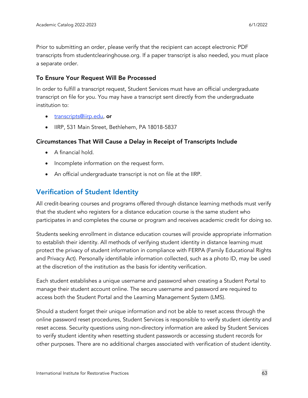Prior to submitting an order, please verify that the recipient can accept electronic PDF transcripts from studentclearinghouse.org. If a paper transcript is also needed, you must place a separate order.

#### To Ensure Your Request Will Be Processed

In order to fulfill a transcript request, Student Services must have an official undergraduate transcript on file for you. You may have a transcript sent directly from the undergraduate institution to:

- [transcripts@iirp.edu,](mailto:transcripts@iirp.edu) or
- IIRP, 531 Main Street, Bethlehem, PA 18018-5837

#### Circumstances That Will Cause a Delay in Receipt of Transcripts Include

- A financial hold.
- Incomplete information on the request form.
- An official undergraduate transcript is not on file at the IIRP.

## <span id="page-62-0"></span>Verification of Student Identity

All credit-bearing courses and programs offered through distance learning methods must verify that the student who registers for a distance education course is the same student who participates in and completes the course or program and receives academic credit for doing so.

Students seeking enrollment in distance education courses will provide appropriate information to establish their identity. All methods of verifying student identity in distance learning must protect the privacy of student information in compliance with FERPA (Family Educational Rights and Privacy Act). Personally identifiable information collected, such as a photo ID, may be used at the discretion of the institution as the basis for identity verification.

Each student establishes a unique username and password when creating a Student Portal to manage their student account online. The secure username and password are required to access both the Student Portal and the Learning Management System (LMS).

Should a student forget their unique information and not be able to reset access through the online password reset procedures, Student Services is responsible to verify student identity and reset access. Security questions using non-directory information are asked by Student Services to verify student identity when resetting student passwords or accessing student records for other purposes. There are no additional charges associated with verification of student identity.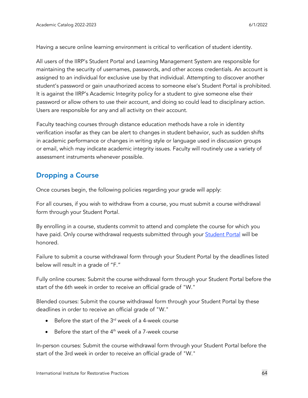Having a secure online learning environment is critical to verification of student identity.

All users of the IIRP's Student Portal and Learning Management System are responsible for maintaining the security of usernames, passwords, and other access credentials. An account is assigned to an individual for exclusive use by that individual. Attempting to discover another student's password or gain unauthorized access to someone else's Student Portal is prohibited. It is against the IIRP's Academic Integrity policy for a student to give someone else their password or allow others to use their account, and doing so could lead to disciplinary action. Users are responsible for any and all activity on their account.

Faculty teaching courses through distance education methods have a role in identity verification insofar as they can be alert to changes in student behavior, such as sudden shifts in academic performance or changes in writing style or language used in discussion groups or email, which may indicate academic integrity issues. Faculty will routinely use a variety of assessment instruments whenever possible.

# <span id="page-63-0"></span>Dropping a Course

Once courses begin, the following policies regarding your grade will apply:

For all courses, if you wish to withdraw from a course, you must submit a course withdrawal form through your Student Portal.

By enrolling in a course, students commit to attend and complete the course for which you have paid. Only course withdrawal requests submitted through your **[Student](https://student.iirp.edu/) Portal will** be honored.

Failure to submit a course withdrawal form through your Student Portal by the deadlines listed below will result in a grade of "F."

Fully online courses: Submit the course withdrawal form through your Student Portal before the start of the 6th week in order to receive an official grade of "W."

Blended courses: Submit the course withdrawal form through your Student Portal by these deadlines in order to receive an official grade of "W."

- Before the start of the  $3<sup>rd</sup>$  week of a 4-week course
- Before the start of the  $4<sup>th</sup>$  week of a 7-week course

In-person courses: Submit the course withdrawal form through your Student Portal before the start of the 3rd week in order to receive an official grade of "W."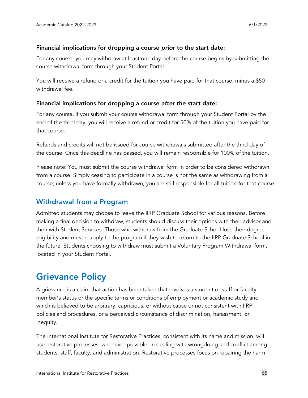#### Financial implications for dropping a course *prior* to the start date:

For any course, you may withdraw at least one day before the course begins by submitting the course withdrawal form through your Student Portal.

You will receive a refund or a credit for the tuition you have paid for that course, minus a \$50 withdrawal fee.

#### Financial implications for dropping a course *after* the start date:

For any course, if you submit your course withdrawal form through your Student Portal by the end of the third day, you will receive a refund or credit for 50% of the tuition you have paid for that course.

Refunds and credits will not be issued for course withdrawals submitted after the third day of the course. Once this deadline has passed, you will remain responsible for 100% of the tuition.

Please note: You must submit the course withdrawal form in order to be considered withdrawn from a course. Simply ceasing to participate in a course is not the same as withdrawing from a course; unless you have formally withdrawn, you are still responsible for all tuition for that course.

## <span id="page-64-0"></span>Withdrawal from a Program

Admitted students may choose to leave the IIRP Graduate School for various reasons. Before making a final decision to withdraw, students should discuss their options with their advisor and then with Student Services. Those who withdraw from the Graduate School lose their degree eligibility and must reapply to the program if they wish to return to the IIRP Graduate School in the future. Students choosing to withdraw must submit a Voluntary Program Withdrawal form, located in your Student Portal.

# <span id="page-64-1"></span>Grievance Policy

A grievance is a claim that action has been taken that involves a student or staff or faculty member's status or the specific terms or conditions of employment or academic study and which is believed to be arbitrary, capricious, or without cause or not consistent with IIRP policies and procedures, or a perceived circumstance of discrimination, harassment, or inequity.

The International Institute for Restorative Practices, consistent with its name and mission, will use restorative processes, whenever possible, in dealing with wrongdoing and conflict among students, staff, faculty, and administration. Restorative processes focus on repairing the harm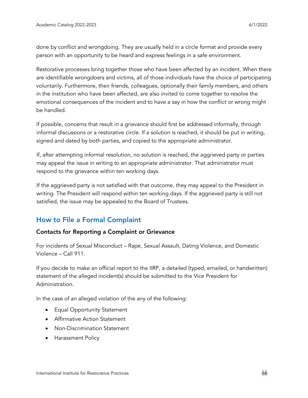done by conflict and wrongdoing. They are usually held in a circle format and provide every person with an opportunity to be heard and express feelings in a safe environment.

Restorative processes bring together those who have been affected by an incident. When there are identifiable wrongdoers and victims, all of those individuals have the choice of participating voluntarily. Furthermore, their friends, colleagues, optionally their family members, and others in the institution who have been affected, are also invited to come together to resolve the emotional consequences of the incident and to have a say in how the conflict or wrong might be handled.

If possible, concerns that result in a grievance should first be addressed informally, through informal discussions or a restorative circle. If a solution is reached, it should be put in writing, signed and dated by both parties, and copied to the appropriate administrator.

If, after attempting informal resolution, no solution is reached, the aggrieved party or parties may appeal the issue in writing to an appropriate administrator. That administrator must respond to the grievance within ten working days.

If the aggrieved party is not satisfied with that outcome, they may appeal to the President in writing. The President will respond within ten working days. If the aggrieved party is still not satisfied, the issue may be appealed to the Board of Trustees.

# <span id="page-65-0"></span>How to File a Formal Complaint

#### Contacts for Reporting a Complaint or Grievance

For incidents of Sexual Misconduct – Rape, Sexual Assault, Dating Violence, and Domestic Violence – Call 911.

If you decide to make an official report to the IIRP, a detailed (typed, emailed, or handwritten) statement of the alleged incident(s) should be submitted to the Vice President for Administration.

In the case of an alleged violation of the any of the following:

- Equal Opportunity Statement
- Affirmative Action Statement
- Non-Discrimination Statement
- Harassment Policy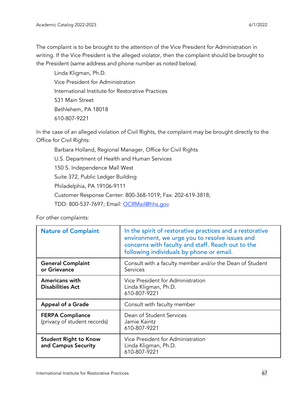The complaint is to be brought to the attention of the Vice President for Administration in writing. If the Vice President is the alleged violator, then the complaint should be brought to the President (same address and phone number as noted below).

Linda Kligman, Ph.D. Vice President for Administration International Institute for Restorative Practices 531 Main Street Bethlehem, PA 18018 610-807-9221

In the case of an alleged violation of Civil Rights, the complaint may be brought directly to the Office for Civil Rights:

Barbara Holland, Regional Manager, Office for Civil Rights U.S. Department of Health and Human Services 150 S. Independence Mall West Suite 372, Public Ledger Building Philadelphia, PA 19106-9111 Customer Response Center: 800-368-1019; Fax: 202-619-3818; TDD: 800-537-7697; Email: [OCRMail@hhs.gov](mailto:OCRMail@hhs.gov)

For other complaints:

| <b>Nature of Complaint</b>                              | In the spirit of restorative practices and a restorative<br>environment, we urge you to resolve issues and<br>concerns with faculty and staff. Reach out to the<br>following individuals by phone or email. |
|---------------------------------------------------------|-------------------------------------------------------------------------------------------------------------------------------------------------------------------------------------------------------------|
| <b>General Complaint</b><br>or Grievance                | Consult with a faculty member and/or the Dean of Student<br>Services                                                                                                                                        |
| <b>Americans with</b><br><b>Disabilities Act</b>        | Vice President for Administration<br>Linda Kligman, Ph.D.<br>610-807-9221                                                                                                                                   |
| <b>Appeal of a Grade</b>                                | Consult with faculty member                                                                                                                                                                                 |
| <b>FERPA Compliance</b><br>(privacy of student records) | Dean of Student Services<br>Jamie Kaintz<br>610-807-9221                                                                                                                                                    |
| <b>Student Right to Know</b><br>and Campus Security     | Vice President for Administration<br>Linda Kligman, Ph.D.<br>610-807-9221                                                                                                                                   |